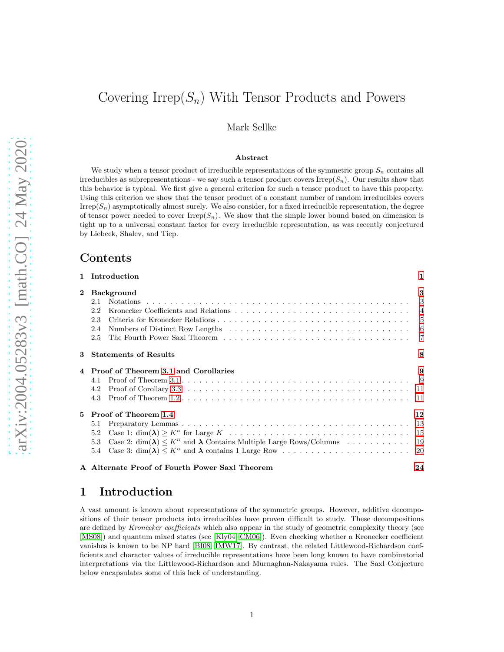# Covering Irrep $(S_n)$  With Tensor Products and Powers

Mark Sellke

#### Abstract

We study when a tensor product of irreducible representations of the symmetric group  $S_n$  contains all irreducibles as subrepresentations - we say such a tensor product covers Irrep $(S_n)$ . Our results show that this behavior is typical. We first give a general criterion for such a tensor product to have this property. Using this criterion we show that the tensor product of a constant number of random irreducibles covers  $Irrep(S_n)$  asymptotically almost surely. We also consider, for a fixed irreducible representation, the degree of tensor power needed to cover  $Irrep(S_n)$ . We show that the simple lower bound based on dimension is tight up to a universal constant factor for every irreducible representation, as was recently conjectured by Liebeck, Shalev, and Tiep.

# Contents

| $\mathbf{1}$ | Introduction                                                                                                                                | 1                              |
|--------------|---------------------------------------------------------------------------------------------------------------------------------------------|--------------------------------|
| $\mathbf{2}$ | <b>Background</b><br>2.1<br>2.2<br>2.3<br>2.4<br>2.5                                                                                        | 3<br>$\mathcal{R}$<br>-6<br>-7 |
| 3            | <b>Statements of Results</b>                                                                                                                | 8                              |
|              | Proof of Theorem 3.1 and Corollaries<br>4.1<br>4.2<br>4.3                                                                                   | 9<br>- 11<br>-11               |
| 5.           | Proof of Theorem 1.4<br>5.1<br>5.2<br>Case 2: $\dim(\lambda) \leq K^n$ and $\lambda$ Contains Multiple Large Rows/Columns  19<br>5.3<br>5.4 | 12<br>13                       |
|              | A Alternate Proof of Fourth Power Saxl Theorem                                                                                              | 24                             |

# <span id="page-0-0"></span>1 Introduction

A vast amount is known about representations of the symmetric groups. However, additive decompositions of their tensor products into irreducibles have proven difficult to study. These decompositions are defined by Kronecker coefficients which also appear in the study of geometric complexity theory (see [\[MS08\]](#page-23-1)) and quantum mixed states (see [\[Kly04,](#page-23-2) [CM06\]](#page-22-0)). Even checking whether a Kronecker coefficient vanishes is known to be NP hard [\[BI08,](#page-22-1) [IMW17\]](#page-23-3). By contrast, the related Littlewood-Richardson coefficients and character values of irreducible representations have been long known to have combinatorial interpretations via the Littlewood-Richardson and Murnaghan-Nakayama rules. The Saxl Conjecture below encapsulates some of this lack of understanding.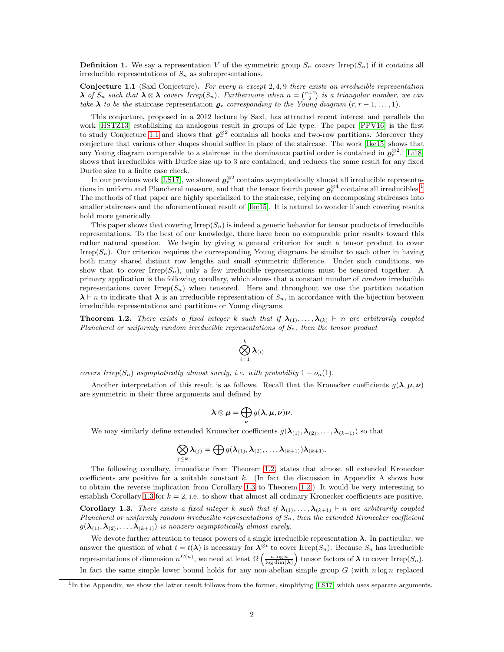**Definition 1.** We say a representation V of the symmetric group  $S_n$  covers Irrep( $S_n$ ) if it contains all irreducible representations of  $S_n$  as subrepresentations.

<span id="page-1-1"></span>**Conjecture 1.1** (Saxl Conjecture). For every n except  $2, 4, 9$  there exists an irreducible representation  $\lambda$  of  $S_n$  such that  $\lambda \otimes \lambda$  covers Irrep $(S_n)$ . Furthermore when  $n = \binom{r+1}{2}$  is a triangular number, we can take  $\lambda$  to be the staircase representation  $\varrho_r$  corresponding to the Young diagram  $(r, r-1, \ldots, 1)$ .

This conjecture, proposed in a 2012 lecture by Saxl, has attracted recent interest and parallels the work [\[HSTZ13\]](#page-22-2) establishing an analogous result in groups of Lie type. The paper [\[PPV16\]](#page-23-4) is the first to study Conjecture [1.1](#page-1-1) and shows that  $\varrho_r^{\otimes 2}$  contains all hooks and two-row partitions. Moreover they conjecture that various other shapes should suffice in place of the staircase. The work [\[Ike15\]](#page-23-5) shows that any Young diagram comparable to a staircase in the dominance partial order is contained in  $\varrho_r^{\otimes 2}$ . [\[Li18\]](#page-23-6) shows that irreducibles with Durfee size up to 3 are contained, and reduces the same result for any fixed Durfee size to a finite case check.

In our previous work [\[LS17\]](#page-23-7), we showed  $\varrho_r^{\otimes 2}$  contains asymptotically almost all irreducible representations in uniform and Plancherel measure, and that the tensor fourth power  $\varrho_r^{\otimes 4}$  contains all irreducibles.<sup>[1](#page-1-2)</sup> The methods of that paper are highly specialized to the staircase, relying on decomposing staircases into smaller staircases and the aforementioned result of [\[Ike15\]](#page-23-5). It is natural to wonder if such covering results hold more generically.

This paper shows that covering  $Irrep(S_n)$  is indeed a generic behavior for tensor products of irreducible representations. To the best of our knowledge, there have been no comparable prior results toward this rather natural question. We begin by giving a general criterion for such a tensor product to cover Irrep( $S_n$ ). Our criterion requires the corresponding Young diagrams be similar to each other in having both many shared distinct row lengths and small symmetric difference. Under such conditions, we show that to cover Irrep $(S_n)$ , only a few irreducible representations must be tensored together. A primary application is the following corollary, which shows that a constant number of random irreducible representations cover  $Irrep(S_n)$  when tensored. Here and throughout we use the partition notation  $\lambda \vdash n$  to indicate that  $\lambda$  is an irreducible representation of  $S_n$ , in accordance with the bijection between irreducible representations and partitions or Young diagrams.

<span id="page-1-0"></span>**Theorem 1.2.** There exists a fixed integer k such that if  $\lambda_{(1)}, \ldots, \lambda_{(k)} \vdash n$  are arbitrarily coupled Plancherel or uniformly random irreducible representations of  $S_n$ , then the tensor product

$$
\bigotimes_{i=1}^k \boldsymbol{\lambda}_{(i)}
$$

covers Irrep(S<sub>n</sub>) asymptotically almost surely, i.e. with probability  $1 - o_n(1)$ .

Another interpretation of this result is as follows. Recall that the Kronecker coefficients  $g(\lambda, \mu, \nu)$ are symmetric in their three arguments and defined by

$$
\boldsymbol{\lambda} \otimes \boldsymbol{\mu} = \bigoplus_{\boldsymbol{\nu}} g(\boldsymbol{\lambda}, \boldsymbol{\mu}, \boldsymbol{\nu}) \boldsymbol{\nu}.
$$

We may similarly define extended Kronecker coefficients  $g(\lambda_{(1)},\lambda_{(2)},\ldots,\lambda_{(k+1)})$  so that

$$
\bigotimes_{j\leq k}\lambda_{(j)}=\bigoplus g(\boldsymbol{\lambda}_{(1)},\boldsymbol{\lambda}_{(2)},\ldots,\boldsymbol{\lambda}_{(k+1)})\boldsymbol{\lambda}_{(k+1)}.
$$

The following corollary, immediate from Theorem [1.2,](#page-1-0) states that almost all extended Kronecker coefficients are positive for a suitable constant k. (In fact the discussion in Appendix A shows how to obtain the reverse implication from Corollary [1.3](#page-1-3) to Theorem [1.2.](#page-1-0)) It would be very interesting to establish Corollary [1.3](#page-1-3) for  $k = 2$ , i.e. to show that almost all ordinary Kronecker coefficients are positive.

<span id="page-1-3"></span>Corollary 1.3. There exists a fixed integer k such that if  $\lambda_{(1)}, \ldots, \lambda_{(k+1)} \vdash n$  are arbitrarily coupled Plancherel or uniformly random irreducible representations of  $S_n$ , then the extended Kronecker coefficient  $g(\lambda_{(1)},\lambda_{(2)},\ldots,\lambda_{(k+1)})$  is nonzero asymptotically almost surely.

We devote further attention to tensor powers of a single irreducible representation  $\lambda$ . In particular, we answer the question of what  $t = t(\lambda)$  is necessary for  $\lambda^{\otimes t}$  to cover Irrep $(S_n)$ . Because  $S_n$  has irreducible representations of dimension  $n^{\Omega(n)}$ , we need at least  $\Omega\left(\frac{n\log n}{\log \dim(\lambda)}\right)$  tensor factors of  $\lambda$  to cover Irrep( $S_n$ ). In fact the same simple lower bound holds for any non-abelian simple group  $G$  (with  $n \log n$  replaced

<span id="page-1-2"></span><sup>&</sup>lt;sup>1</sup>In the Appendix, we show the latter result follows from the former, simplifying [\[LS17\]](#page-23-7) which uses separate arguments.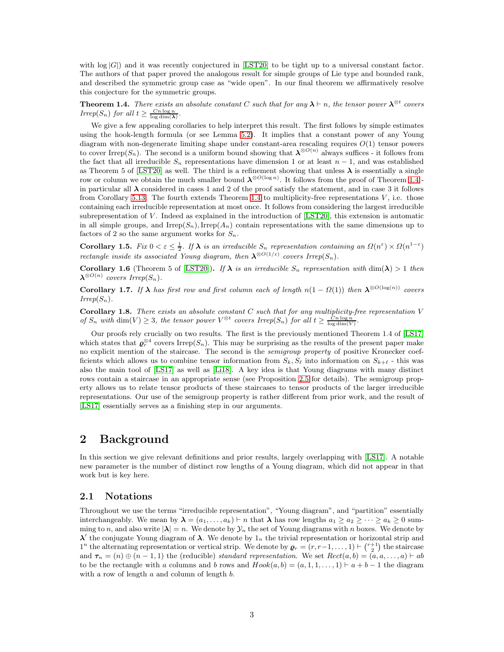with  $\log |G|$ ) and it was recently conjectured in [\[LST20\]](#page-23-8) to be tight up to a universal constant factor. The authors of that paper proved the analogous result for simple groups of Lie type and bounded rank, and described the symmetric group case as "wide open". In our final theorem we affirmatively resolve this conjecture for the symmetric groups.

<span id="page-2-2"></span>**Theorem 1.4.** There exists an absolute constant C such that for any  $\lambda \vdash n$ , the tensor power  $\lambda^{\otimes t}$  covers Irrep(S<sub>n</sub>) for all  $t \geq \frac{Cn \log n}{\log \dim(\lambda)}$ .

We give a few appealing corollaries to help interpret this result. The first follows by simple estimates using the hook-length formula (or see Lemma [5.2\)](#page-12-1). It implies that a constant power of any Young diagram with non-degenerate limiting shape under constant-area rescaling requires  $O(1)$  tensor powers to cover Irrep(S<sub>n</sub>). The second is a uniform bound showing that  $\lambda^{\otimes O(n)}$  always suffices - it follows from the fact that all irreducible  $S_n$  representations have dimension 1 or at least  $n-1$ , and was established as Theorem 5 of [\[LST20\]](#page-23-8) as well. The third is a refinement showing that unless  $\lambda$  is essentially a single row or column we obtain the much smaller bound  $\lambda^{\otimes O(\log n)}$ . It follows from the proof of Theorem [1.4](#page-2-2) in particular all  $\lambda$  considered in cases 1 and 2 of the proof satisfy the statement, and in case 3 it follows from Corollary [5.13.](#page-19-1) The fourth extends Theorem [1.4](#page-2-2) to multiplicity-free representations  $V$ , i.e. those containing each irreducible representation at most once. It follows from considering the largest irreducible subrepresentation of  $V$ . Indeed as explained in the introduction of  $[{\rm LST20}]$ , this extension is automatic in all simple groups, and Irrep( $S_n$ ), Irrep( $A_n$ ) contain representations with the same dimensions up to factors of 2 so the same argument works for  $S_n$ .

Corollary 1.5. Fix  $0 < \varepsilon \leq \frac{1}{2}$ . If  $\lambda$  is an irreducible  $S_n$  representation containing an  $\Omega(n^{\varepsilon}) \times \Omega(n^{1-\varepsilon})$ rectangle inside its associated Young diagram, then  $\lambda^{\otimes O(1/\varepsilon)}$  covers Irrep $(S_n)$ .

**Corollary 1.6** (Theorem 5 of [\[LST20\]](#page-23-8)). If  $\lambda$  is an irreducible  $S_n$  representation with dim( $\lambda$ ) > 1 then  $\boldsymbol{\lambda}^{\otimes O(n)}$  covers Irrep $(S_n)$ .

**Corollary 1.7.** If  $\lambda$  has first row and first column each of length  $n(1 - \Omega(1))$  then  $\lambda^{\otimes O(\log(n))}$  covers  $Irrep(S_n)$ .

**Corollary 1.8.** There exists an absolute constant  $C$  such that for any multiplicity-free representation  $V$ of  $S_n$  with  $\dim(V) \geq 3$ , the tensor power  $V^{\otimes t}$  covers Irrep $(S_n)$  for all  $t \geq \frac{C_n \log n}{\log \dim(V)}$ .

Our proofs rely crucially on two results. The first is the previously mentioned Theorem 1.4 of [\[LS17\]](#page-23-7) which states that  $\varrho_r^{\otimes 4}$  covers Irrep(S<sub>n</sub>). This may be surprising as the results of the present paper make no explicit mention of the staircase. The second is the semigroup property of positive Kronecker coefficients which allows us to combine tensor information from  $S_k$ ,  $S_\ell$  into information on  $S_{k+\ell}$  - this was also the main tool of [\[LS17\]](#page-23-7) as well as [\[Li18\]](#page-23-6). A key idea is that Young diagrams with many distinct rows contain a staircase in an appropriate sense (see Proposition [2.5](#page-5-1) for details). The semigroup property allows us to relate tensor products of these staircases to tensor products of the larger irreducible representations. Our use of the semigroup property is rather different from prior work, and the result of [\[LS17\]](#page-23-7) essentially serves as a finishing step in our arguments.

# <span id="page-2-0"></span>2 Background

In this section we give relevant definitions and prior results, largely overlapping with [\[LS17\]](#page-23-7). A notable new parameter is the number of distinct row lengths of a Young diagram, which did not appear in that work but is key here.

#### <span id="page-2-1"></span>2.1 Notations

Throughout we use the terms "irreducible representation", "Young diagram", and "partition" essentially interchangeably. We mean by  $\lambda = (a_1, \ldots, a_k) \vdash n$  that  $\lambda$  has row lengths  $a_1 \ge a_2 \ge \cdots \ge a_k \ge 0$  summing to n, and also write  $|\lambda| = n$ . We denote by  $\mathcal{Y}_n$  the set of Young diagrams with n boxes. We denote by  $\lambda'$  the conjugate Young diagram of  $\lambda$ . We denote by  $1_n$  the trivial representation or horizontal strip and 1<sup>n</sup> the alternating representation or vertical strip. We denote by  $\boldsymbol{\varrho}_r = (r, r-1, \ldots, 1) \vdash \binom{r+1}{2}$  the staircase and  $\tau_n = (n) \oplus (n-1, 1)$  the (reducible) standard representation. We set  $Rect(a, b) = (a, a, \ldots, a) \vdash ab$ to be the rectangle with a columns and b rows and  $Hook(a, b) = (a, 1, 1, \ldots, 1) \vdash a + b - 1$  the diagram with a row of length a and column of length b.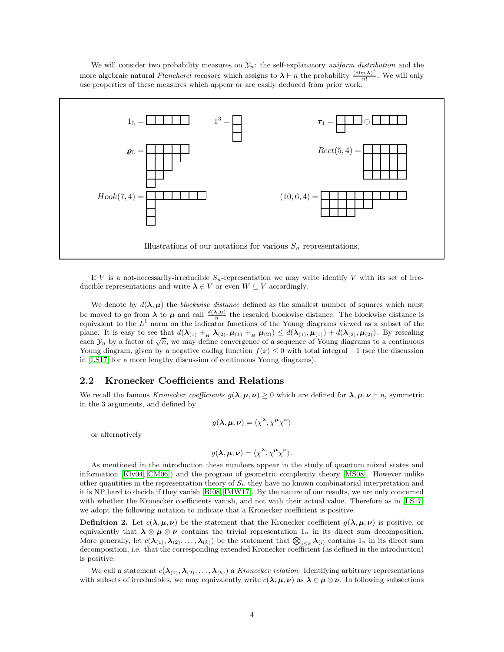We will consider two probability measures on  $\mathcal{Y}_n$ : the self-explanatory uniform distribution and the more algebraic natural *Plancherel measure* which assigns to  $\lambda \vdash n$  the probability  $\frac{(\dim \lambda)^2}{n!}$  $\frac{\ln \lambda}{n!}$ . We will only use properties of these measures which appear or are easily deduced from prior work.



If V is a not-necessarily-irreducible  $S_n$ -representation we may write identify V with its set of irreducible representations and write  $\lambda \in V$  or even  $W \subseteq V$  accordingly.

We denote by  $d(\lambda, \mu)$  the *blockwise distance* defined as the smallest number of squares which must be moved to go from  $\lambda$  to  $\mu$  and call  $\frac{d(\lambda,\mu)}{n}$  the rescaled blockwise distance. The blockwise distance is equivalent to the  $L^1$  norm on the indicator functions of the Young diagrams viewed as a subset of the plane. It is easy to see that  $d(\lambda_{(1)} +_{H} \lambda_{(2)}, \mu_{(1)} +_{H} \mu_{(2)}) \leq d(\lambda_{(1)}, \mu_{(1)}) + d(\lambda_{(2)}, \mu_{(2)})$ . By rescaling each  $\mathcal{Y}_n$  by a factor of  $\sqrt{n}$ , we may define convergence of a sequence of Young diagrams to a continuous Young diagram, given by a negative cadlag function  $f(x) \leq 0$  with total integral  $-1$  (see the discussion in [\[LS17\]](#page-23-7) for a more lengthy discussion of continuous Young diagrams).

#### <span id="page-3-0"></span>2.2 Kronecker Coefficients and Relations

We recall the famous Kronecker coefficients  $q(\lambda, \mu, \nu) > 0$  which are defined for  $\lambda, \mu, \nu \vdash n$ , symmetric in the 3 arguments, and defined by

$$
g(\lambda, \mu, \nu) = \langle \chi^{\lambda}, \chi^{\mu} \chi^{\nu} \rangle
$$

or alternatively

$$
g(\lambda, \mu, \nu) = \langle \chi^{\lambda}, \chi^{\mu} \chi^{\nu} \rangle.
$$

As mentioned in the introduction these numbers appear in the study of quantum mixed states and information [\[Kly04,](#page-23-2) [CM06\]](#page-22-0)) and the program of geometric complexity theory [\[MS08\]](#page-23-1). However unlike other quantities in the representation theory of  $S_n$  they have no known combinatorial interpretation and it is NP hard to decide if they vanish [\[BI08,](#page-22-1) [IMW17\]](#page-23-3). By the nature of our results, we are only concerned with whether the Kronecker coefficients vanish, and not with their actual value. Therefore as in [\[LS17\]](#page-23-7) we adopt the following notation to indicate that a Kronecker coefficient is positive.

**Definition 2.** Let  $c(\lambda, \mu, \nu)$  be the statement that the Kronecker coefficient  $g(\lambda, \mu, \nu)$  is positive, or equivalently that  $\lambda \otimes \mu \otimes \nu$  contains the trivial representation  $1_n$  in its direct sum decomposition. More generally, let  $c(\lambda_{(1)}, \lambda_{(2)}, \ldots, \lambda_{(k)})$  be the statement that  $\bigotimes_{i \leq k} \lambda_{(i)}$  contains  $1_n$  in its direct sum decomposition, i.e. that the corresponding extended Kronecker coefficient (as defined in the introduction) is positive.

We call a statement  $c(\lambda_{(1)},\lambda_{(2)},\ldots,\lambda_{(k)})$  a Kronecker relation. Identifying arbitrary representations with subsets of irreducibles, we may equivalently write  $c(\lambda, \mu, \nu)$  as  $\lambda \in \mu \otimes \nu$ . In following subsections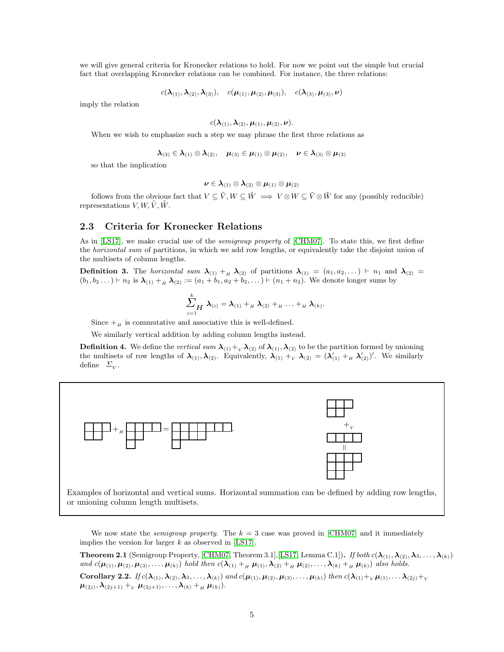we will give general criteria for Kronecker relations to hold. For now we point out the simple but crucial fact that overlapping Kronecker relations can be combined. For instance, the three relations:

$$
c(\boldsymbol{\lambda}_{(1)},\boldsymbol{\lambda}_{(2)},\boldsymbol{\lambda}_{(3)}),\quad c(\boldsymbol{\mu}_{(1)},\boldsymbol{\mu}_{(2)},\boldsymbol{\mu}_{(3)}),\quad c(\boldsymbol{\lambda}_{(3)},\boldsymbol{\mu}_{(3)},\boldsymbol{\nu})
$$

imply the relation

$$
c(\boldsymbol{\lambda}_{(1)},\boldsymbol{\lambda}_{(2)},\boldsymbol{\mu}_{(1)},\boldsymbol{\mu}_{(2)},\boldsymbol{\nu}).
$$

When we wish to emphasize such a step we may phrase the first three relations as

$$
\pmb{\lambda}_{(3)}\in\pmb{\lambda}_{(1)}\otimes\pmb{\lambda}_{(2)},\quad \pmb{\mu}_{(3)}\in\pmb{\mu}_{(1)}\otimes\pmb{\mu}_{(2)},\quad \pmb{\nu}\in\pmb{\lambda}_{(3)}\otimes\pmb{\mu}_{(3)}
$$

so that the implication

$$
\boldsymbol{\nu}\in\boldsymbol{\lambda}_{(1)}\otimes\boldsymbol{\lambda}_{(2)}\otimes\boldsymbol{\mu}_{(1)}\otimes\boldsymbol{\mu}_{(2)}
$$

follows from the obvious fact that  $V \subseteq \tilde{V}$ ,  $W \subseteq \tilde{W} \implies V \otimes W \subseteq \tilde{V} \otimes \tilde{W}$  for any (possibly reducible) representations  $V, W, \tilde{V}, \tilde{W}$ .

#### <span id="page-4-0"></span>2.3 Criteria for Kronecker Relations

As in [\[LS17\]](#page-23-7), we make crucial use of the *semigroup property* of [\[CHM07\]](#page-22-3). To state this, we first define the horizontal sum of partitions, in which we add row lengths, or equivalently take the disjoint union of the multisets of column lengths.

**Definition 3.** The horizontal sum  $\lambda_{(1)} + \lambda_{(2)}$  of partitions  $\lambda_{(1)} = (a_1, a_2, \dots) \vdash n_1$  and  $\lambda_{(2)} =$  $(b_1, b_2 \dots) \vdash n_2$  is  $\lambda_{(1)} + \lambda_{(2)} := (a_1 + b_1, a_2 + b_2, \dots) \vdash (n_1 + n_2)$ . We denote longer sums by

$$
\sum_{i=1}^k \boldsymbol{\lambda}_{(i)} = \boldsymbol{\lambda}_{(1)} +_H \boldsymbol{\lambda}_{(2)} +_H \ldots +_H \boldsymbol{\lambda}_{(k)}.
$$

Since  $+$ <sub>H</sub> is commutative and associative this is well-defined.

We similarly vertical addition by adding column lengths instead.

**Definition 4.** We define the vertical sum  $\lambda_{(1)}+\lambda_{(2)}$  of  $\lambda_{(1)},\lambda_{(2)}$  to be the partition formed by unioning the multisets of row lengths of  $\lambda_{(1)}, \lambda_{(2)}$ . Equivalently,  $\lambda_{(1)} +_{V} \lambda_{(2)} = (\lambda'_{(1)} +_{H} \lambda'_{(2)})'$ . We similarly define  $\mathcal{L}_V$ .



We now state the *semigroup property*. The  $k = 3$  case was proved in [\[CHM07\]](#page-22-3) and it immediately implies the version for larger  $k$  as observed in [\[LS17\]](#page-23-7).

<span id="page-4-2"></span><span id="page-4-1"></span>**Theorem 2.1** (Semigroup Property, [\[CHM07,](#page-22-3) Theorem 3.1], [\[LS17,](#page-23-7) Lemma C.1]). If both  $c(\lambda_{(1)},\lambda_{(2)},\lambda_3,\ldots,\lambda_{(k)})$ and  $c(\mu_{(1)}, \mu_{(2)}, \mu_{(3)}, \ldots, \mu_{(k)})$  hold then  $c(\lambda_{(1)} +_H \mu_{(1)}, \lambda_{(2)} +_H \mu_{(2)}, \ldots, \lambda_{(k)} +_H \mu_{(k)})$  also holds. Corollary 2.2. If  $c(\lambda_{(1)},\lambda_{(2)},\lambda_3,\ldots,\lambda_{(k)})$  and  $c(\mu_{(1)},\mu_{(2)},\mu_{(3)},\ldots,\mu_{(k)})$  then  $c(\lambda_{(1)}+_{V}\mu_{(1)},\ldots,\lambda_{(2j)}+_{V}\mu_{(2j)},\ldots,\mu_{(k)})$  $\boldsymbol{\mu}_{(2j)}, \boldsymbol{\lambda}_{(2j+1)} +_{_V} \boldsymbol{\mu}_{(2j+1)}, \ldots, \boldsymbol{\lambda}_{(k)} +_{_H} \boldsymbol{\mu}_{(k)}).$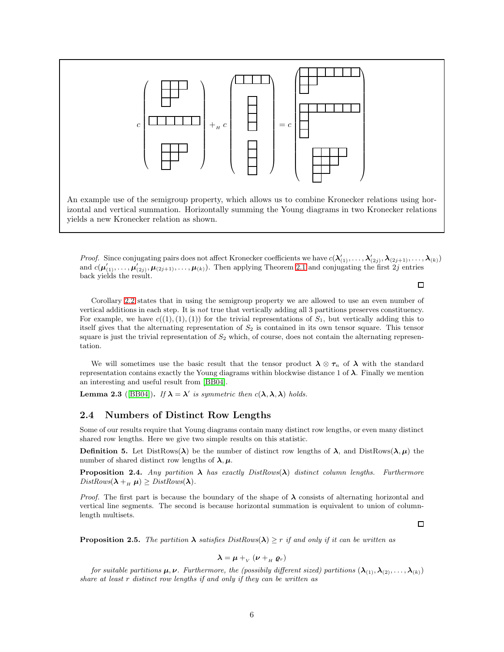

An example use of the semigroup property, which allows us to combine Kronecker relations using horizontal and vertical summation. Horizontally summing the Young diagrams in two Kronecker relations yields a new Kronecker relation as shown.

*Proof.* Since conjugating pairs does not affect Kronecker coefficients we have  $c(\lambda'_{(1)},\ldots,\lambda'_{(2j)},\lambda_{(2j+1)},\ldots,\lambda_{(k)})$ and  $c(\mu'_{(1)},\ldots,\mu'_{(2j)},\mu_{(2j+1)},\ldots,\mu_{(k)})$ . Then applying Theorem [2.1](#page-4-1) and conjugating the first 2j entries back yields the result.

Corollary [2.2](#page-4-2) states that in using the semigroup property we are allowed to use an even number of vertical additions in each step. It is not true that vertically adding all 3 partitions preserves constituency. For example, we have  $c((1),(1),(1))$  for the trivial representations of  $S_1$ , but vertically adding this to itself gives that the alternating representation of  $S_2$  is contained in its own tensor square. This tensor square is just the trivial representation of  $S_2$  which, of course, does not contain the alternating representation.

We will sometimes use the basic result that the tensor product  $\lambda \otimes \tau_n$  of  $\lambda$  with the standard representation contains exactly the Young diagrams within blockwise distance 1 of  $\lambda$ . Finally we mention an interesting and useful result from [\[BB04\]](#page-22-4).

<span id="page-5-2"></span>**Lemma 2.3** ([\[BB04\]](#page-22-4)). If  $\lambda = \lambda'$  is symmetric then  $c(\lambda, \lambda, \lambda)$  holds.

#### <span id="page-5-0"></span>2.4 Numbers of Distinct Row Lengths

Some of our results require that Young diagrams contain many distinct row lengths, or even many distinct shared row lengths. Here we give two simple results on this statistic.

**Definition 5.** Let DistRows( $\lambda$ ) be the number of distinct row lengths of  $\lambda$ , and DistRows( $\lambda, \mu$ ) the number of shared distinct row lengths of  $\lambda, \mu$ .

**Proposition 2.4.** Any partition  $\lambda$  has exactly DistRows( $\lambda$ ) distinct column lengths. Furthermore  $DistRows(\lambda +_H \mu) \ge DistRows(\lambda)$ .

*Proof.* The first part is because the boundary of the shape of  $\lambda$  consists of alternating horizontal and vertical line segments. The second is because horizontal summation is equivalent to union of columnlength multisets.

 $\Box$ 

 $\Box$ 

<span id="page-5-1"></span>**Proposition 2.5.** The partition  $\lambda$  satisfies DistRows( $\lambda$ )  $\geq r$  if and only if it can be written as

$$
\boldsymbol{\lambda} = \boldsymbol{\mu} +_{V} (\boldsymbol{\nu} +_{H} \boldsymbol{\varrho}_r)
$$

for suitable partitions  $\mu, \nu$ . Furthermore, the (possibily different sized) partitions  $(\lambda_{(1)}, \lambda_{(2)}, \ldots, \lambda_{(k)})$ share at least r distinct row lengths if and only if they can be written as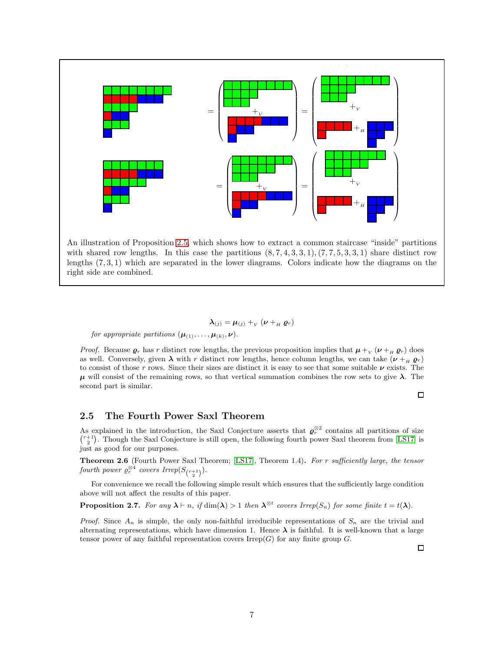

with shared row lengths. In this case the partitions  $(8, 7, 4, 3, 3, 1), (7, 7, 5, 3, 3, 1)$  share distinct row lengths (7, 3, 1) which are separated in the lower diagrams. Colors indicate how the diagrams on the right side are combined.

$$
\boldsymbol{\lambda}_{(j)} = \boldsymbol{\mu}_{(j)} +_{V} (\boldsymbol{\nu} +_{H} \boldsymbol{\varrho}_{r})
$$

for appropriate partitions  $(\boldsymbol{\mu}_{(1)}, \ldots, \boldsymbol{\mu}_{(k)}, \boldsymbol{\nu}).$ 

*Proof.* Because  $\varrho_r$  has r distinct row lengths, the previous proposition implies that  $\mu_{v}(v + \mu \varrho_r)$  does as well. Conversely, given  $\lambda$  with r distinct row lengths, hence column lengths, we can take  $(\nu +_H \varrho_r)$ to consist of those r rows. Since their sizes are distinct it is easy to see that some suitable  $\nu$  exists. The  $\mu$  will consist of the remaining rows, so that vertical summation combines the row sets to give  $\lambda$ . The second part is similar.

 $\Box$ 

#### <span id="page-6-0"></span>2.5 The Fourth Power Saxl Theorem

As explained in the introduction, the Saxl Conjecture asserts that  $\varrho_r^{\otimes 2}$  contains all partitions of size  $\binom{r+1}{2}$ . Though the Saxl Conjecture is still open, the following fourth power Saxl theorem from [\[LS17\]](#page-23-7) is just as good for our purposes.

<span id="page-6-1"></span>Theorem 2.6 (Fourth Power Saxl Theorem; [\[LS17\]](#page-23-7), Theorem 1.4). For r sufficiently large, the tensor fourth power  $\varrho^{\otimes 4}_r$  covers  $Irrep(S_{\binom{r+1}{2}}).$ 

For convenience we recall the following simple result which ensures that the sufficiently large condition above will not affect the results of this paper.

<span id="page-6-2"></span>**Proposition 2.7.** For any  $\lambda \vdash n$ , if  $\dim(\lambda) > 1$  then  $\lambda^{\otimes t}$  covers Irrep( $S_n$ ) for some finite  $t = t(\lambda)$ .

*Proof.* Since  $A_n$  is simple, the only non-faithful irreducible representations of  $S_n$  are the trivial and alternating representations, which have dimension 1. Hence  $\lambda$  is faithful. It is well-known that a large tensor power of any faithful representation covers  $Irrep(G)$  for any finite group  $G$ .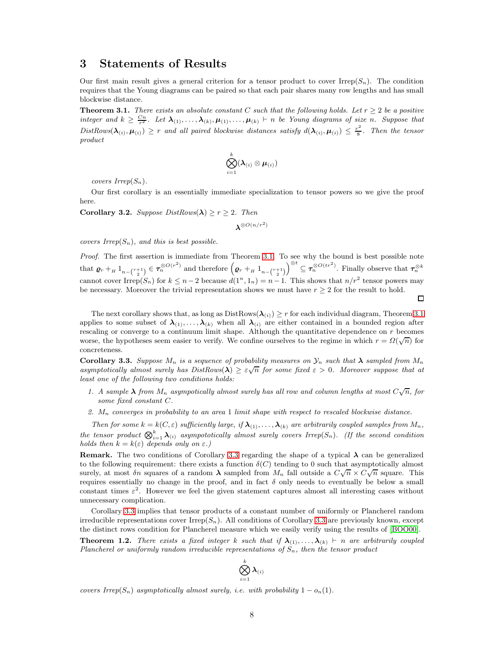# <span id="page-7-0"></span>3 Statements of Results

Our first main result gives a general criterion for a tensor product to cover  $Irrep(S_n)$ . The condition requires that the Young diagrams can be paired so that each pair shares many row lengths and has small blockwise distance.

<span id="page-7-1"></span>**Theorem 3.1.** There exists an absolute constant C such that the following holds. Let  $r \geq 2$  be a positive integer and  $k \geq \frac{Cn}{r^2}$ . Let  $\lambda_{(1)}, \ldots, \lambda_{(k)}, \mu_{(1)}, \ldots, \mu_{(k)} \vdash n$  be Young diagrams of size n. Suppose that  $DistRows(\lambda_{(i)}, \mu_{(i)}) \geq r$  and all paired blockwise distances satisfy  $d(\lambda_{(i)}, \mu_{(i)}) \leq \frac{r^2}{8}$  $\frac{1}{8}$ . Then the tensor product

$$
\bigotimes_{i=1}^k (\boldsymbol{\lambda}_{(i)} \otimes \boldsymbol{\mu}_{(i)})
$$

covers  $Irrep(S_n)$ .

Our first corollary is an essentially immediate specialization to tensor powers so we give the proof here.

<span id="page-7-3"></span>**Corollary 3.2.** Suppose  $DistRows(\lambda) \ge r \ge 2$ . Then

$$
\boldsymbol{\lambda}^{\otimes O(n/r^2)}
$$

covers  $Irrep(S_n)$ , and this is best possible.

Proof. The first assertion is immediate from Theorem [3.1.](#page-7-1) To see why the bound is best possible note that  $\varrho_r +_H 1_{n-{r+1 \choose 2}} \in \tau_n^{\otimes O(r^2)}$  and therefore  $(\varrho_r +_H 1_{n-{r+1 \choose 2}})$  $\int_{0}^{\otimes t} \subseteq \tau_n^{\otimes O(tr^2)}$ . Finally observe that  $\tau_n^{\otimes k}$ cannot cover Irrep(S<sub>n</sub>) for  $k \leq n-2$  because  $d(1^n, 1_n) = n-1$ . This shows that  $n/r^2$  tensor powers may be necessary. Moreover the trivial representation shows we must have  $r \geq 2$  for the result to hold.

 $\Box$ 

The next corollary shows that, as long as  $DistRows(\lambda_{(i)}) \geq r$  for each individual diagram, Theorem [3.1](#page-7-1) applies to some subset of  $\lambda_{(1)}, \ldots, \lambda_{(k)}$  when all  $\lambda_{(i)}$  are either contained in a bounded region after rescaling or converge to a continuum limit shape. Although the quantitative dependence on r becomes worse, the hypotheses seem easier to verify. We confine ourselves to the regime in which  $r = \Omega(\sqrt{n})$  for concreteness.

<span id="page-7-2"></span>**Corollary 3.3.** Suppose  $M_n$  is a sequence of probability measures on  $\mathcal{Y}_n$  such that  $\boldsymbol{\lambda}$  sampled from  $M_n$ asymptotically almost surely has  $DistRows(\lambda) \geq \varepsilon \sqrt{n}$  for some fixed  $\varepsilon > 0$ . Moreover suppose that at least one of the following two conditions holds:

- 1. A sample  $\lambda$  from  $M_n$  asympotically almost surely has all row and column lengths at most  $C\sqrt{n}$ , for some fixed constant C.
- 2.  $M_n$  converges in probability to an area 1 limit shape with respect to rescaled blockwise distance.

Then for some  $k = k(C, \varepsilon)$  sufficiently large, if  $\lambda_{(1)}, \ldots, \lambda_{(k)}$  are arbitrarily coupled samples from  $M_n$ , the tensor product  $\bigotimes_{i=1}^k \lambda_{(i)}$  asympototically almost surely covers Irrep(S<sub>n</sub>). (If the second condition holds then  $k = k(\varepsilon)$  depends only on  $\varepsilon$ .)

Remark. The two conditions of Corollary [3.3](#page-7-2) regarding the shape of a typical  $\lambda$  can be generalized to the following requirement: there exists a function  $\delta(C)$  tending to 0 such that asymptotically almost surely, at most  $\delta n$  squares of a random  $\lambda$  sampled from  $M_n$  fall outside a  $C\sqrt{n} \times C\sqrt{n}$  square. This requires essentially no change in the proof, and in fact  $\delta$  only needs to eventually be below a small constant times  $\varepsilon^2$ . However we feel the given statement captures almost all interesting cases without unnecessary complication.

Corollary [3.3](#page-7-2) implies that tensor products of a constant number of uniformly or Plancherel random irreducible representations cover  $Irrep(S_n)$ . All conditions of Corollary [3.3](#page-7-2) are previously known, except the distinct rows condition for Plancherel measure which we easily verify using the results of [\[BOO00\]](#page-22-5).

**Theorem 1.2.** There exists a fixed integer k such that if  $\lambda_{(1)}, \ldots, \lambda_{(k)}$  ⊢ n are arbitrarily coupled Plancherel or uniformly random irreducible representations of  $S_n$ , then the tensor product



covers Irrep(S<sub>n</sub>) asymptotically almost surely, i.e. with probability  $1 - o_n(1)$ .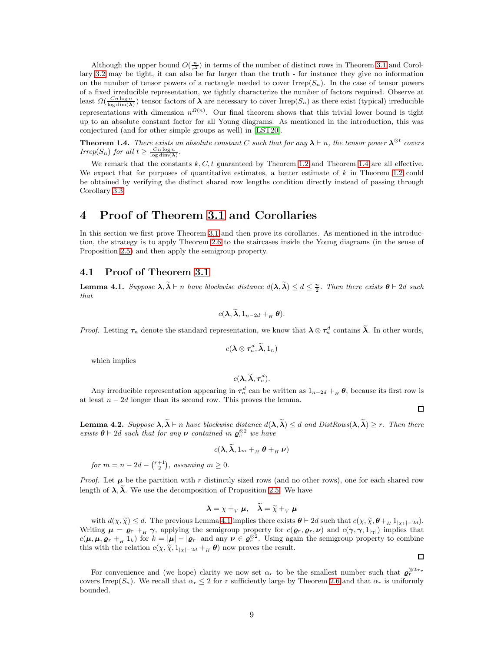Although the upper bound  $O(\frac{n}{r^2})$  in terms of the number of distinct rows in Theorem [3.1](#page-7-1) and Corollary [3.2](#page-7-3) may be tight, it can also be far larger than the truth - for instance they give no information on the number of tensor powers of a rectangle needed to cover  $Irrep(S_n)$ . In the case of tensor powers of a fixed irreducible representation, we tightly characterize the number of factors required. Observe at least  $\Omega(\frac{Cn\log n}{\log \dim(\lambda)})$  tensor factors of  $\lambda$  are necessary to cover Irrep( $S_n$ ) as there exist (typical) irreducible representations with dimension  $n^{\Omega(n)}$ . Our final theorem shows that this trivial lower bound is tight up to an absolute constant factor for all Young diagrams. As mentioned in the introduction, this was conjectured (and for other simple groups as well) in [\[LST20\]](#page-23-8).

**Theorem 1.4.** There exists an absolute constant C such that for any  $\lambda \vdash n$ , the tensor power  $\lambda^{\otimes t}$  covers Irrep(S<sub>n</sub>) for all  $t \geq \frac{Cn \log n}{\log \dim(\lambda)}$ .

We remark that the constants  $k, C, t$  guaranteed by Theorem [1.2](#page-1-0) and Theorem [1.4](#page-2-2) are all effective. We expect that for purposes of quantitative estimates, a better estimate of  $k$  in Theorem [1.2](#page-1-0) could be obtained by verifying the distinct shared row lengths condition directly instead of passing through Corollary [3.3.](#page-7-2)

# <span id="page-8-0"></span>4 Proof of Theorem [3.1](#page-7-1) and Corollaries

In this section we first prove Theorem [3.1](#page-7-1) and then prove its corollaries. As mentioned in the introduction, the strategy is to apply Theorem [2.6](#page-6-1) to the staircases inside the Young diagrams (in the sense of Proposition [2.5\)](#page-5-1) and then apply the semigroup property.

#### <span id="page-8-1"></span>4.1 Proof of Theorem [3.1](#page-7-1)

<span id="page-8-2"></span>**Lemma 4.1.** Suppose  $\lambda, \tilde{\lambda} \vdash n$  have blockwise distance  $d(\lambda, \tilde{\lambda}) \leq d \leq \frac{n}{2}$ . Then there exists  $\theta \vdash 2d$  such that

$$
c(\boldsymbol{\lambda},\widetilde{\boldsymbol{\lambda}},1_{n-2d}+_{H}\boldsymbol{\theta}).
$$

*Proof.* Letting  $\tau_n$  denote the standard representation, we know that  $\lambda \otimes \tau_n^d$  contains  $\tilde{\lambda}$ . In other words,

$$
c(\boldsymbol{\lambda}\otimes\boldsymbol{\tau}^{\mathcal{d}}_n,\widetilde{\boldsymbol{\lambda}},1_n)
$$

which implies

$$
c(\boldsymbol{\lambda},\widetilde{\boldsymbol{\lambda}},\boldsymbol{\tau}_n^d).
$$

Any irreducible representation appearing in  $\tau_n^d$  can be written as  $1_{n-2d} + B_n$ , because its first row is at least  $n - 2d$  longer than its second row. This proves the lemma.

 $\Box$ 

 $\Box$ 

<span id="page-8-3"></span>**Lemma 4.2.** Suppose  $\lambda, \widetilde{\lambda} \vdash n$  have blockwise distance  $d(\lambda, \widetilde{\lambda}) \leq d$  and  $DistRows(\lambda, \widetilde{\lambda}) \geq r$ . Then there exists  $\boldsymbol{\theta} \vdash 2d$  such that for any  $\boldsymbol{\nu}$  contained in  $\boldsymbol{\varrho}_r^{\otimes 2}$  we have

$$
c(\boldsymbol{\lambda},\boldsymbol{\lambda},\boldsymbol{1}_m +_{_H} \boldsymbol{\theta} +_{_H} \boldsymbol{\nu})
$$

for  $m = n - 2d - {r+1 \choose 2}$ , assuming  $m \ge 0$ .

*Proof.* Let  $\mu$  be the partition with r distinctly sized rows (and no other rows), one for each shared row length of  $\lambda$ ,  $\tilde{\lambda}$ . We use the decomposition of Proposition [2.5.](#page-5-1) We have

$$
\boldsymbol{\lambda} = \chi +_{V} \boldsymbol{\mu}, \quad \tilde{\boldsymbol{\lambda}} = \tilde{\chi} +_{V} \boldsymbol{\mu}
$$

with  $d(\chi, \tilde{\chi}) \leq d$ . The previous Lemma [4.1](#page-8-2) implies there exists  $\boldsymbol{\theta} \vdash 2d$  such that  $c(\chi, \tilde{\chi}, \boldsymbol{\theta} +_H 1_{|\chi_1| - 2d})$ . Writing  $\mu = \varrho_r + H \gamma$ , applying the semigroup property for  $c(\varrho_r, \varrho_r, \nu)$  and  $c(\gamma, \gamma, 1_{|\gamma|})$  implies that  $c(\mu, \mu, \varrho_r + H_1 k)$  for  $k = |\mu| - |\varrho_r|$  and any  $\nu \in \varrho_r^{\otimes 2}$ . Using again the semigroup property to combine this with the relation  $c(\chi, \widetilde{\chi}, 1_{|\chi|-2d} +_{H} \theta)$  now proves the result.

For convenience and (we hope) clarity we now set  $\alpha_r$  to be the smallest number such that  $\varrho_r^{\otimes 2\alpha_r}$ covers Irrep(S<sub>n</sub>). We recall that  $\alpha_r \leq 2$  for r sufficiently large by Theorem [2.6](#page-6-1) and that  $\alpha_r$  is uniformly bounded.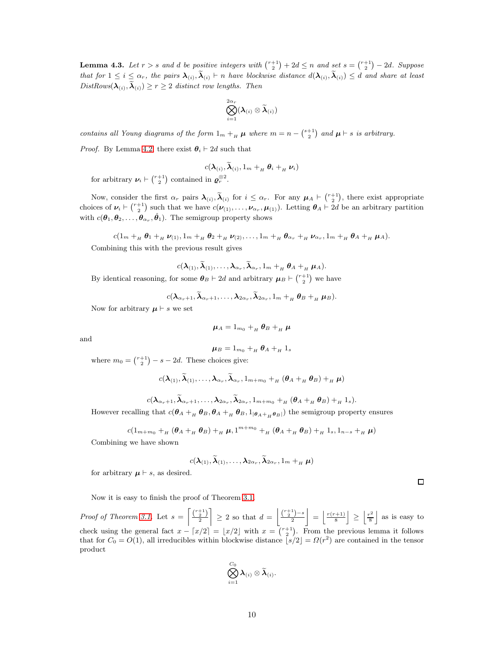**Lemma 4.3.** Let  $r > s$  and d be positive integers with  $\binom{r+1}{2} + 2d \leq n$  and set  $s = \binom{r+1}{2} - 2d$ . Suppose that for  $1 \leq i \leq \alpha_r$ , the pairs  $\lambda_{(i)}$ ,  $\lambda_{(i)}$   $\vdash n$  have blockwise distance  $d(\lambda_{(i)}, \lambda_{(i)}) \leq d$  and share at least  $DistRows(\lambda_{(i)}, \lambda_{(i)}) \ge r \ge 2$  distinct row lengths. Then

$$
\bigotimes_{i=1}^{2\alpha_r}(\boldsymbol{\lambda}_{(i)}\otimes\widetilde{\boldsymbol{\lambda}}_{(i)})
$$

contains all Young diagrams of the form  $1_m +_H \mu$  where  $m = n - \binom{s+1}{2}$  and  $\mu \vdash s$  is arbitrary.

*Proof.* By Lemma [4.2,](#page-8-3) there exist  $\theta_i \vdash 2d$  such that

$$
c(\boldsymbol{\lambda}_{(i)}, \widetilde{\boldsymbol{\lambda}}_{(i)}, 1_m +_H \boldsymbol{\theta}_i +_H \boldsymbol{\nu}_i)
$$

for arbitrary  $\nu_i \vdash {\binom{r+1}{2}}$  contained in  $\varrho_r^{\otimes 2}$ .

Now, consider the first  $\alpha_r$  pairs  $\lambda_{(i)}$ ,  $\tilde{\lambda}_{(i)}$  for  $i \leq \alpha_r$ . For any  $\mu_A \vdash {\binom{r+1}{2}}$ , there exist appropriate choices of  $\nu_i \vdash {\binom{r+1}{2}}$  such that we have  $c(\nu_{(1)}, \ldots, \nu_{\alpha_r}, \mu_{(1)})$ . Letting  $\theta_A \vdash 2d$  be an arbitrary partition with  $c(\theta_1, \theta_2, \ldots, \theta_{\alpha_r}, \hat{\theta}_1)$ . The semigroup property shows

 $c(1_m +_H \theta_1 +_H \nu_{(1)}, 1_m +_H \theta_2 +_H \nu_{(2)}, \ldots, 1_m +_H \theta_{\alpha_r} +_H \nu_{\alpha_r}, 1_m +_H \theta_A +_H \mu_A).$ 

Combining this with the previous result gives

$$
c(\boldsymbol{\lambda}_{(1)}, \widetilde{\boldsymbol{\lambda}}_{(1)}, \ldots, \boldsymbol{\lambda}_{\alpha_r}, \widetilde{\boldsymbol{\lambda}}_{\alpha_r}, 1_m +_{_H} \boldsymbol{\theta}_A +_{_H} \boldsymbol{\mu}_A).
$$

By identical reasoning, for some  $\theta_B \vdash 2d$  and arbitrary  $\mu_B \vdash {\binom{r+1}{2}}$  we have

$$
c(\boldsymbol{\lambda}_{\alpha_r+1},\widetilde{\boldsymbol{\lambda}}_{\alpha_r+1},\ldots,\boldsymbol{\lambda}_{2\alpha_r},\widetilde{\boldsymbol{\lambda}}_{2\alpha_r},1_m +_H \boldsymbol{\theta}_B +_H \boldsymbol{\mu}_B).
$$

Now for arbitrary  $\mu \vdash s$  we set

$$
\mu_A = 1_{m_0} +_{_H} \theta_B +_{_H} \mu
$$

and

$$
\mu_B = 1_{m_0} +_{_H} \theta_A +_{_H} 1_s
$$

where  $m_0 = \binom{r+1}{2} - s - 2d$ . These choices give:

$$
c(\boldsymbol{\lambda}_{(1)},\widetilde{\boldsymbol{\lambda}}_{(1)},\ldots,\boldsymbol{\lambda}_{\alpha_r},\widetilde{\boldsymbol{\lambda}}_{\alpha_r},1_{m+m_0}+_{H}(\boldsymbol{\theta}_A+_{H}\boldsymbol{\theta}_B)+_{H}\boldsymbol{\mu})
$$

 $c(\boldsymbol{\lambda}_{\alpha_r+1},\boldsymbol{\lambda}_{\alpha_r+1},\ldots,\boldsymbol{\lambda}_{2\alpha_r},\boldsymbol{\lambda}_{2\alpha_r},1_{m+m_0}+_{_H}(\boldsymbol{\theta}_A+_{_H}\boldsymbol{\theta}_B)+_{_H}1_s).$ 

However recalling that  $c(\theta_A +_H \theta_B, \theta_A +_H \theta_B, 1_{|\theta_A +_H \theta_B|})$  the semigroup property ensures

$$
c(1_{m+m_0} +_{_H} (\theta_A +_{_H} \theta_B) +_{_H} \mu, 1^{m+m_0} +_{_H} (\theta_A +_{_H} \theta_B) +_{_H} 1_s, 1_{n-s} +_{_H} \mu)
$$

Combining we have shown

$$
c(\boldsymbol{\lambda}_{(1)}, \widetilde{\boldsymbol{\lambda}}_{(1)}, \ldots, \boldsymbol{\lambda}_{2\alpha_r}, \widetilde{\boldsymbol{\lambda}}_{2\alpha_r}, 1_m +_{_H} \boldsymbol{\mu})
$$

for arbitrary  $\mu \vdash s$ , as desired.

Now it is easy to finish the proof of Theorem [3.1.](#page-7-1)

*Proof of Theorem [3.1.](#page-7-1)* Let  $s = \left\lceil \frac{{r+1}}{2} \right\rceil$  $\Big] \geq 2$  so that  $d = \Big|\frac{\binom{r+1}{2}-s}{2}\Big|$  $\left| \begin{array}{c} = \\ \frac{r(r+1)}{8} \end{array} \right| \ge \left| \frac{r^2}{8} \right|$  $\frac{e^{2}}{8}$  as is easy to check using the general fact  $x - \lceil x/2 \rceil = \lfloor x/2 \rfloor$  with  $x = \binom{r+1}{2}$ . From the previous lemma it follows that for  $C_0 = O(1)$ , all irreducibles within blockwise distance  $\left[ s/2 \right] = \Omega(r^2)$  are contained in the tensor product

$$
\bigotimes_{i=1}^{C_0} \boldsymbol{\lambda}_{(i)} \otimes \widetilde{\boldsymbol{\lambda}}_{(i)}.
$$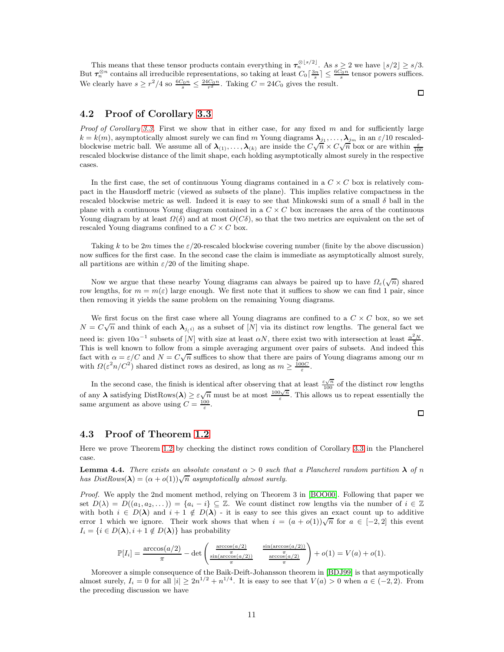This means that these tensor products contain everything in  $\tau_n^{\otimes \lfloor s/2 \rfloor}$ . As  $s \geq 2$  we have  $\lfloor s/2 \rfloor \geq s/3$ . But  $\tau_n^{\otimes n}$  contains all irreducible representations, so taking at least  $C_0\left[\frac{3n}{s}\right] \leq \frac{6C_0n}{s}$  tensor powers suffices. We clearly have  $s \geq r^2/4$  so  $\frac{6C_0 n}{s} \leq \frac{24C_0 n}{r^2}$ . Taking  $C = 24C_0$  gives the result.

 $\Box$ 

### <span id="page-10-0"></span>4.2 Proof of Corollary [3.3](#page-7-2)

*Proof of Corollary [3.3.](#page-7-2)* First we show that in either case, for any fixed m and for sufficiently large  $k = k(m)$ , asymptotically almost surely we can find m Young diagrams  $\lambda_{j_1}, \ldots, \lambda_{j_m}$  in an  $\varepsilon/10$  rescaledblockwise metric ball. We assume all of  $\lambda_{(1)}, \ldots, \lambda_{(k)}$  are inside the  $C\sqrt{n} \times C\sqrt{n}$  box or are within  $\frac{\varepsilon}{100}$ rescaled blockwise distance of the limit shape, each holding asymptotically almost surely in the respective cases.

In the first case, the set of continuous Young diagrams contained in a  $C \times C$  box is relatively compact in the Hausdorff metric (viewed as subsets of the plane). This implies relative compactness in the rescaled blockwise metric as well. Indeed it is easy to see that Minkowski sum of a small  $\delta$  ball in the plane with a continuous Young diagram contained in a  $C \times C$  box increases the area of the continuous Young diagram by at least  $\Omega(\delta)$  and at most  $O(C\delta)$ , so that the two metrics are equivalent on the set of rescaled Young diagrams confined to a  $C \times C$  box.

Taking k to be 2m times the  $\varepsilon/20$ -rescaled blockwise covering number (finite by the above discussion) now suffices for the first case. In the second case the claim is immediate as asymptotically almost surely, all partitions are within  $\varepsilon/20$  of the limiting shape.

Now we argue that these nearby Young diagrams can always be paired up to have  $\Omega_{\varepsilon}(\sqrt{n})$  shared row lengths, for  $m = m(\varepsilon)$  large enough. We first note that it suffices to show we can find 1 pair, since then removing it yields the same problem on the remaining Young diagrams.

We first focus on the first case where all Young diagrams are confined to a  $C \times C$  box, so we set  $N = C\sqrt{n}$  and think of each  $\lambda_{j(i)}$  as a subset of [N] via its distinct row lengths. The general fact we need is: given  $10\alpha^{-1}$  subsets of [N] with size at least  $\alpha N$ , there exist two with intersection at least  $\frac{\alpha^2 N}{2}$ . This is well known to follow from a simple averaging argument over pairs of subsets. And indeed this fact with  $\alpha = \varepsilon/C$  and  $N = C\sqrt{n}$  suffices to show that there are pairs of Young diagrams among our m with  $\Omega(\varepsilon^2 n/C^2)$  shared distinct rows as desired, as long as  $m \ge \frac{100C}{\varepsilon}$ .

In the second case, the finish is identical after observing that at least  $\frac{\varepsilon\sqrt{n}}{100}$  of the distinct row lengths of any  $\lambda$  satisfying DistRows( $\lambda$ )  $\geq \varepsilon \sqrt{n}$  must be at most  $\frac{100\sqrt{n}}{\varepsilon}$ . This allows us to repeat essentially the same argument as above using  $C = \frac{100}{\varepsilon}$ .

### <span id="page-10-1"></span>4.3 Proof of Theorem [1.2](#page-1-0)

Here we prove Theorem [1.2](#page-1-0) by checking the distinct rows condition of Corollary [3.3](#page-7-2) in the Plancherel case.

**Lemma 4.4.** There exists an absolute constant  $\alpha > 0$  such that a Plancherel random partition  $\lambda$  of n has  $DistRows(\lambda) = (\alpha + o(1))\sqrt{n}$  asymptotically almost surely.

Proof. We apply the 2nd moment method, relying on Theorem 3 in [\[BOO00\]](#page-22-5). Following that paper we set  $D(\lambda) = D((a_1, a_2, \dots)) = \{a_i - i\} \subseteq \mathbb{Z}$ . We count distinct row lengths via the number of  $i \in \mathbb{Z}$ with both  $i \in D(\lambda)$  and  $i + 1 \notin D(\lambda)$  - it is easy to see this gives an exact count up to additive error 1 which we ignore. Their work shows that when  $i = (a + o(1))\sqrt{n}$  for  $a \in [-2,2]$  this event  $I_i = \{i \in D(\lambda), i + 1 \notin D(\lambda)\}\$ has probability

$$
\mathbb{P}[I_i] = \frac{\arccos(a/2)}{\pi} - \det \begin{pmatrix} \frac{\arccos(a/2)}{\pi} & \frac{\sin(\arccos(a/2))}{\pi} \\ \frac{\sin(\arccos(a/2))}{\pi} & \frac{\arccos(a/2)}{\pi} \end{pmatrix} + o(1) = V(a) + o(1).
$$

Moreover a simple consequence of the Baik-Deift-Johansson theorem in [\[BDJ99\]](#page-22-6) is that asympotically almost surely,  $I_i = 0$  for all  $|i| \geq 2n^{1/2} + n^{1/4}$ . It is easy to see that  $V(a) > 0$  when  $a \in (-2, 2)$ . From the preceding discussion we have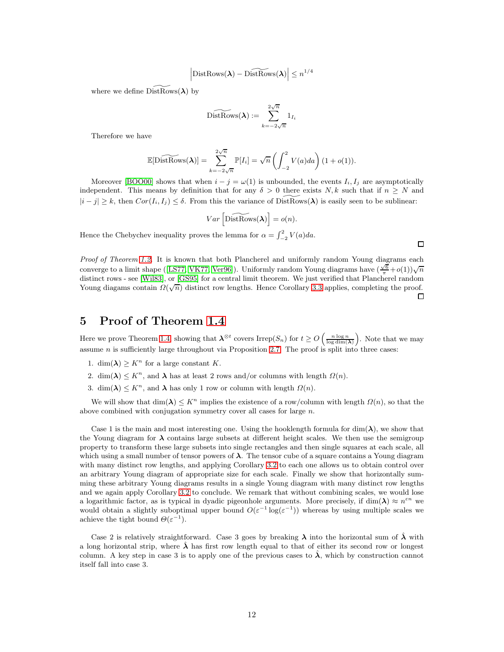$$
\left|\mathrm{DistRows}(\boldsymbol{\lambda})-\mathrm{DistRows}(\boldsymbol{\lambda})\right|\leq n^{1/4}
$$

where we define  $DistRows(\lambda)$  by

$$
\widetilde{\text{DistRows}}(\boldsymbol{\lambda}) := \sum_{k=-2\sqrt{n}}^{2\sqrt{n}} 1_{I_i}
$$

Therefore we have

$$
\mathbb{E}[\widetilde{\mathrm{DistRows}}(\boldsymbol{\lambda})] = \sum_{k=-2\sqrt{n}}^{2\sqrt{n}} \mathbb{P}[I_i] = \sqrt{n} \left( \int_{-2}^{2} V(a) da \right) (1 + o(1)).
$$

Moreover [\[BOO00\]](#page-22-5) shows that when  $i - j = \omega(1)$  is unbounded, the events  $I_i, I_j$  are asymptotically independent. This means by definition that for any  $\delta > 0$  there exists N, k such that if  $n \geq N$  and  $|i - j| \geq k$ , then  $Cor(I_i, I_j) \leq \delta$ . From this the variance of DistRows( $\lambda$ ) is easily seen to be sublinear:

$$
Var\left[\widetilde{\text{DistRows}}(\boldsymbol{\lambda})\right] = o(n).
$$

Hence the Chebychev inequality proves the lemma for  $\alpha = \int_{-2}^{2} V(a) da$ .

Proof of Theorem [1.2.](#page-1-0) It is known that both Plancherel and uniformly random Young diagrams each converge to a limit shape ([\[LS77,](#page-23-9) [VK77,](#page-23-10) [Ver96\]](#page-23-11)). Uniformly random Young diagrams have  $(\frac{\sqrt{6}}{\pi}+o(1))\sqrt{n}$ distinct rows - see [\[Wil83\]](#page-23-12), or [\[GS95\]](#page-22-7) for a central limit theorem. We just verified that Plancherel random Young diagams contain  $\Omega(\sqrt{n})$  distinct row lengths. Hence Corollary [3.3](#page-7-2) applies, completing the proof.  $\Box$ 

### <span id="page-11-0"></span>5 Proof of Theorem [1.4](#page-2-2)

Here we prove Theorem [1.4,](#page-2-2) showing that  $\lambda^{\otimes t}$  covers Irrep( $S_n$ ) for  $t \ge O\left(\frac{n \log n}{\log \dim(\lambda)}\right)$ . Note that we may assume *n* is sufficiently large throughout via Proposition [2.7.](#page-6-2) The proof is split into three cases:

- 1. dim( $\lambda$ )  $\geq K^n$  for a large constant K.
- 2. dim( $\lambda$ )  $\leq K^n$ , and  $\lambda$  has at least 2 rows and/or columns with length  $\Omega(n)$ .
- 3. dim( $\lambda$ )  $\leq K^n$ , and  $\lambda$  has only 1 row or column with length  $\Omega(n)$ .

We will show that  $\dim(\lambda) \leq K^n$  implies the existence of a row/column with length  $\Omega(n)$ , so that the above combined with conjugation symmetry cover all cases for large  $n$ .

Case 1 is the main and most interesting one. Using the hooklength formula for  $\dim(\lambda)$ , we show that the Young diagram for  $\lambda$  contains large subsets at different height scales. We then use the semigroup property to transform these large subsets into single rectangles and then single squares at each scale, all which using a small number of tensor powers of  $\lambda$ . The tensor cube of a square contains a Young diagram with many distinct row lengths, and applying Corollary [3.2](#page-7-3) to each one allows us to obtain control over an arbitrary Young diagram of appropriate size for each scale. Finally we show that horizontally summing these arbitrary Young diagrams results in a single Young diagram with many distinct row lengths and we again apply Corollary [3.2](#page-7-3) to conclude. We remark that without combining scales, we would lose a logarithmic factor, as is typical in dyadic pigeonhole arguments. More precisely, if  $\dim(\lambda) \approx n^{\epsilon n}$  we would obtain a slightly suboptimal upper bound  $O(\varepsilon^{-1} \log(\varepsilon^{-1}))$  whereas by using multiple scales we achieve the tight bound  $\Theta(\varepsilon^{-1})$ .

Case 2 is relatively straightforward. Case 3 goes by breaking  $\lambda$  into the horizontal sum of  $\lambda$  with a long horizontal strip, where  $\lambda$  has first row length equal to that of either its second row or longest column. A key step in case 3 is to apply one of the previous cases to  $\hat{\lambda}$ , which by construction cannot itself fall into case 3.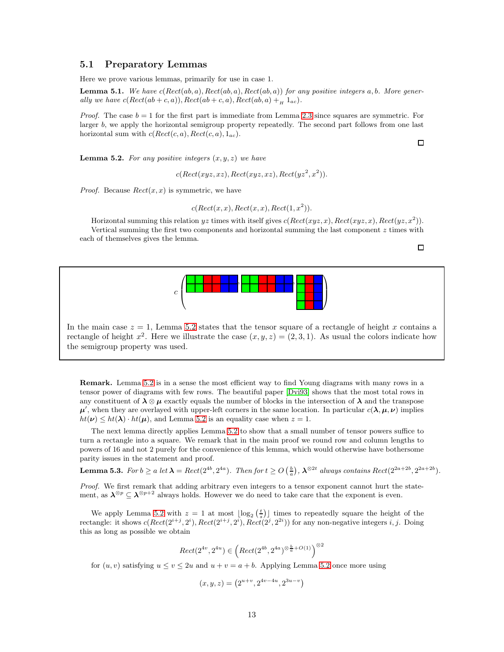#### <span id="page-12-0"></span>5.1 Preparatory Lemmas

Here we prove various lemmas, primarily for use in case 1.

<span id="page-12-2"></span>**Lemma 5.1.** We have  $c(Rect(ab, a), Rect(ab, a), Rect(ab, a))$  for any positive integers a, b. More generally we have  $c(Rect(ab + c, a)), Rect(ab + c, a), Rect(ab, a) + H_{ac}).$ 

*Proof.* The case  $b = 1$  for the first part is immediate from Lemma [2.3](#page-5-2) since squares are symmetric. For larger b, we apply the horizontal semigroup property repeatedly. The second part follows from one last horizontal sum with  $c(Rect(c, a), Rect(c, a), 1_{ac})$ .

<span id="page-12-1"></span>**Lemma 5.2.** For any positive integers  $(x, y, z)$  we have

$$
c(Rect(xyz,xz),Rect(xyz,xz),Rect(yz^2,x^2)).
$$

*Proof.* Because  $Rect(x, x)$  is symmetric, we have

$$
c(Rect(x,x),Rect(x,x),Rect(1,x^2)).
$$

Horizontal summing this relation yz times with itself gives  $c(Rect(xyz, x), Rect(xyz, x), Rect(xzx))^2$ . Vertical summing the first two components and horizontal summing the last component  $z$  times with each of themselves gives the lemma.

 $\Box$ 

 $\Box$ 



In the main case  $z = 1$ , Lemma [5.2](#page-12-1) states that the tensor square of a rectangle of height x contains a rectangle of height  $x^2$ . Here we illustrate the case  $(x, y, z) = (2, 3, 1)$ . As usual the colors indicate how the semigroup property was used.

Remark. Lemma [5.2](#page-12-1) is in a sense the most efficient way to find Young diagrams with many rows in a tensor power of diagrams with few rows. The beautiful paper [\[Dvi93\]](#page-22-8) shows that the most total rows in any constituent of  $\lambda \otimes \mu$  exactly equals the number of blocks in the intersection of  $\lambda$  and the transpose  $\mu'$ , when they are overlayed with upper-left corners in the same location. In particular  $c(\lambda, \mu, \nu)$  implies  $ht(\nu) \leq ht(\lambda) \cdot ht(\mu)$ , and Lemma [5.2](#page-12-1) is an equality case when  $z = 1$ .

The next lemma directly applies Lemma [5.2](#page-12-1) to show that a small number of tensor powers suffice to turn a rectangle into a square. We remark that in the main proof we round row and column lengths to powers of 16 and not 2 purely for the convenience of this lemma, which would otherwise have bothersome parity issues in the statement and proof.

<span id="page-12-3"></span>**Lemma 5.3.** For  $b \ge a$  let  $\lambda = Rect(2^{4b}, 2^{4a})$ . Then for  $t \ge O\left(\frac{b}{a}\right)$ ,  $\lambda^{\otimes 2t}$  always contains  $Rect(2^{2a+2b}, 2^{2a+2b})$ .

Proof. We first remark that adding arbitrary even integers to a tensor exponent cannot hurt the statement, as  $\lambda^{\otimes p} \subseteq \lambda^{\otimes p+2}$  always holds. However we do need to take care that the exponent is even.

We apply Lemma [5.2](#page-12-1) with  $z = 1$  at most  $\lfloor \log_2(\frac{t}{s}) \rfloor$  times to repeatedly square the height of the rectangle: it shows  $c(Rect(2^{i+j}, 2^i), Rect(2^{i+j}, 2^i), Rect(2^j, 2^{2i}))$  for any non-negative integers i, j. Doing this as long as possible we obtain

$$
Rect(2^{4v}, 2^{4u}) \in \left( Rect(2^{4b}, 2^{4a})^{\otimes \frac{b}{a} + O(1)}\right)^{\otimes 2}
$$

for  $(u, v)$  satisfying  $u \le v \le 2u$  and  $u + v = a + b$ . Applying Lemma [5.2](#page-12-1) once more using

$$
(x, y, z) = (2^{u+v}, 2^{4v-4u}, 2^{3u-v})
$$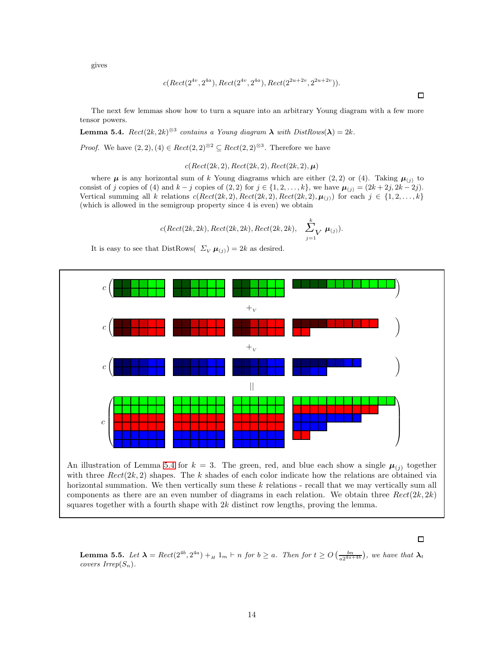gives

$$
c(Rect(2^{4v}, 2^{4a}), Rect(2^{4v}, 2^{4a}), Rect(2^{2u+2v}, 2^{2u+2v})).
$$

The next few lemmas show how to turn a square into an arbitrary Young diagram with a few more tensor powers.

<span id="page-13-0"></span>**Lemma 5.4.**  $Rect(2k, 2k)^{\otimes 3}$  contains a Young diagram  $\lambda$  with  $DistRows(\lambda) = 2k$ .

*Proof.* We have  $(2, 2), (4) \in \text{Rect}(2, 2)^{\otimes 2} \subseteq \text{Rect}(2, 2)^{\otimes 3}$ . Therefore we have

$$
c(Rect(2k, 2), Rect(2k, 2), Rect(2k, 2), \mu)
$$

where  $\mu$  is any horizontal sum of k Young diagrams which are either (2, 2) or (4). Taking  $\mu_{(j)}$  to consist of j copies of (4) and  $k - j$  copies of  $(2, 2)$  for  $j \in \{1, 2, \ldots, k\}$ , we have  $\mu_{(j)} = (2k + 2j, 2k - 2j)$ . Vertical summing all k relations  $c(Rect(2k, 2), Rect(2k, 2), Rect(2k, 2), \mu_{(j)})$  for each  $j \in \{1, 2, ..., k\}$ (which is allowed in the semigroup property since 4 is even) we obtain

$$
c(Rect(2k, 2k), Rect(2k, 2k), Rect(2k, 2k), \sum_{j=1}^{k} \mu_{(j)}).
$$

It is easy to see that DistRows(  $\Sigma_V \mu_{(j)} = 2k$  as desired.



#### $\Box$

<span id="page-13-1"></span>**Lemma 5.5.** Let  $\lambda = \text{Rect}(2^{4b}, 2^{4a}) + H_{H} \cdot n$  for  $b \geq a$ . Then for  $t \geq O\left(\frac{bn}{a2^{4a+4b}}\right)$ , we have that  $\lambda_t$ covers  $Irrep(S_n)$ .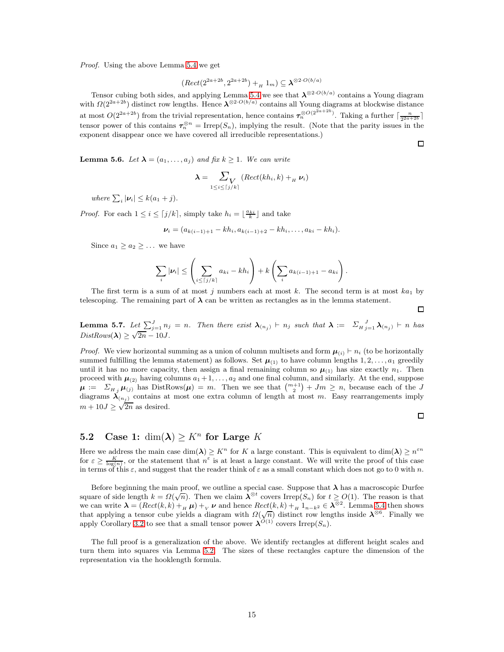Proof. Using the above Lemma [5.4](#page-13-0) we get

$$
(Rect(2^{2a+2b}, 2^{2a+2b}) +_H 1_m) \subseteq \lambda^{\otimes 2 \cdot O(b/a)}
$$

Tensor cubing both sides, and applying Lemma [5.4](#page-13-0) we see that  $\lambda^{\otimes 2 \cdot O(b/a)}$  contains a Young diagram with  $\Omega(2^{2a+2b})$  distinct row lengths. Hence  $\lambda^{\otimes 2 \cdot O(b/a)}$  contains all Young diagrams at blockwise distance at most  $O(2^{2a+2b})$  from the trivial representation, hence contains  $\tau_n^{\otimes O(2^{2a+2b})}$ . Taking a further  $\lceil \frac{n}{2^{2a+2b}} \rceil$ tensor power of this contains  $\tau_n^{\otimes n} = \text{Irrep}(S_n)$ , implying the result. (Note that the parity issues in the exponent disappear once we have covered all irreducible representations.)

<span id="page-14-1"></span>**Lemma 5.6.** Let  $\lambda = (a_1, \ldots, a_j)$  and fix  $k \geq 1$ . We can write

$$
\lambda = \sum_{1 \leq i \leq \lceil j/k \rceil} (Rect(kh_i, k) +_H \nu_i)
$$

where  $\sum_i |\nu_i| \leq k(a_1 + j)$ .

*Proof.* For each  $1 \leq i \leq \lceil j/k \rceil$ , simply take  $h_i = \lfloor \frac{a_{ki}}{k} \rfloor$  and take

$$
\nu_i = (a_{k(i-1)+1} - kh_i, a_{k(i-1)+2} - kh_i, \ldots, a_{ki} - kh_i).
$$

Since  $a_1 \geq a_2 \geq \ldots$  we have

$$
\sum_{i} |\nu_i| \leq \left(\sum_{i \leq \lceil j/k \rceil} a_{ki} - kh_i\right) + k \left(\sum_{i} a_{k(i-1)+1} - a_{ki}\right).
$$

The first term is a sum of at most j numbers each at most k. The second term is at most  $ka_1$  by telescoping. The remaining part of  $\lambda$  can be written as rectangles as in the lemma statement.

 $\Box$ 

 $\Box$ 

 $\Box$ 

<span id="page-14-2"></span>**Lemma 5.7.** Let  $\sum_{j=1}^{J} n_j = n$ . Then there exist  $\boldsymbol{\lambda}_{(n_j)}$   $\vdash n_j$  such that  $\boldsymbol{\lambda} := \sum_{H} \sum_{j=1}^{J} \boldsymbol{\lambda}_{(n_j)}$   $\vdash n$  has  $DistRows(\lambda) \geq \sqrt{2n} - 10J.$ 

*Proof.* We view horizontal summing as a union of column multisets and form  $\mu_{(i)}$  ⊢  $n_i$  (to be horizontally summed fulfilling the lemma statement) as follows. Set  $\mu_{(1)}$  to have column lengths  $1, 2, \ldots, a_1$  greedily until it has no more capacity, then assign a final remaining column so  $\mu_{(1)}$  has size exactly  $n_1$ . Then proceed with  $\mu_{(2)}$  having columns  $a_1 + 1, \ldots, a_2$  and one final column, and similarly. At the end, suppose  $\mu := \sum_{H_j} \mu_{(j)}$  has DistRows $(\mu) = m$ . Then we see that  $\binom{m+1}{2} + Jm \geq n$ , because each of the J diagrams  $\lambda_{(n_i)}$  contains at most one extra column of length at most m. Easy rearrangements imply  $m + 10J \geq \sqrt{2n}$  as desired.

# <span id="page-14-0"></span>5.2 Case 1:  $\dim(\lambda) \geq K^n$  for Large K

Here we address the main case  $\dim(\lambda) \geq K^n$  for K a large constant. This is equivalent to  $\dim(\lambda) \geq n^{\varepsilon n}$ for  $\varepsilon \geq \frac{K}{\log(n)}$ , or the statement that  $n^{\varepsilon}$  is at least a large constant. We will write the proof of this case in terms of this  $\varepsilon$ , and suggest that the reader think of  $\varepsilon$  as a small constant which does not go to 0 with n.

Before beginning the main proof, we outline a special case. Suppose that  $\lambda$  has a macroscopic Durfee square of side length  $k = \Omega(\sqrt{n})$ . Then we claim  $\lambda^{\otimes t}$  covers Irrep(S<sub>n</sub>) for  $t \geq O(1)$ . The reason is that we can write  $\lambda = (Rect(k, k) +_H \mu) +_V \nu$  and hence  $Rect(k, k) +_H 1_{n-k^2} \in \lambda^{\otimes 2}$ . Lemma [5.4](#page-13-0) then shows that applying a tensor cube yields a diagram with  $\Omega(\sqrt{n})$  distinct row lengths inside  $\lambda^{\otimes 6}$ . Finally we apply Corollary [3.2](#page-7-3) to see that a small tensor power  $\lambda^{O(1)}$  covers Irrep(S<sub>n</sub>).

The full proof is a generalization of the above. We identify rectangles at different height scales and turn them into squares via Lemma [5.2.](#page-12-1) The sizes of these rectangles capture the dimension of the representation via the hooklength formula.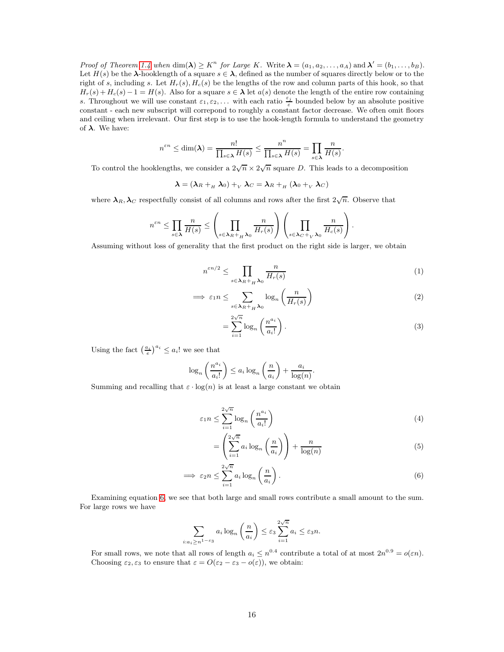Proof of Theorem [1.4](#page-2-2) when  $\dim(\lambda) \geq K^n$  for Large K. Write  $\lambda = (a_1, a_2, \ldots, a_A)$  and  $\lambda' = (b_1, \ldots, b_B)$ . Let  $H(s)$  be the  $\lambda$ -hooklength of a square  $s \in \lambda$ , defined as the number of squares directly below or to the right of s, including s. Let  $H_r(s)$ ,  $H_c(s)$  be the lengths of the row and column parts of this hook, so that  $H_r(s) + H_c(s) - 1 = H(s)$ . Also for a square  $s \in \lambda$  let  $a(s)$  denote the length of the entire row containing s. Throughout we will use constant  $\varepsilon_1, \varepsilon_2, \ldots$  with each ratio  $\frac{\varepsilon_j}{\varepsilon}$  bounded below by an absolute positive constant - each new subscript will correpond to roughly a constant factor decrease. We often omit floors and ceiling when irrelevant. Our first step is to use the hook-length formula to understand the geometry of  $\lambda$ . We have:

$$
n^{\varepsilon n} \le \dim(\lambda) = \frac{n!}{\prod_{s \in \lambda} H(s)} \le \frac{n^n}{\prod_{s \in \lambda} H(s)} = \prod_{s \in \lambda} \frac{n}{H(s)}.
$$

To control the hooklengths, we consider a  $2\sqrt{n} \times 2\sqrt{n}$  square D. This leads to a decomposition

 $\lambda = (\lambda_R +_{H} \lambda_0) +_{V} \lambda_C = \lambda_R +_{H} (\lambda_0 +_{V} \lambda_C)$ 

where  $\lambda_R, \lambda_C$  respectfully consist of all columns and rows after the first  $2\sqrt{n}$ . Observe that

$$
n^{\varepsilon n} \leq \prod_{s \in \lambda} \frac{n}{H(s)} \leq \left(\prod_{s \in \lambda_R + \frac{n}{H} \lambda_0} \frac{n}{H_r(s)}\right) \left(\prod_{s \in \lambda_C + \frac{n}{V} \lambda_0} \frac{n}{H_c(s)}\right).
$$

Assuming without loss of generality that the first product on the right side is larger, we obtain

$$
n^{\varepsilon n/2} \le \prod_{s \in \lambda_R + \prod_R \lambda_0} \frac{n}{H_r(s)}\tag{1}
$$

$$
\implies \varepsilon_1 n \leq \sum_{s \in \lambda_R +_{H} \lambda_0} \log_n \left( \frac{n}{H_r(s)} \right) \tag{2}
$$

$$
=\sum_{i=1}^{2\sqrt{n}}\log_n\left(\frac{n^{a_i}}{a_i!}\right).
$$
\n(3)

Using the fact  $\left(\frac{a_i}{e}\right)^{a_i} \leq a_i!$  we see that

$$
\log_n\left(\frac{n^{a_i}}{a_i!}\right) \le a_i \log_n\left(\frac{n}{a_i}\right) + \frac{a_i}{\log(n)}.
$$

Summing and recalling that  $\varepsilon \cdot \log(n)$  is at least a large constant we obtain

$$
\varepsilon_1 n \le \sum_{i=1}^{2\sqrt{n}} \log_n\left(\frac{n^{a_i}}{a_i!}\right) \tag{4}
$$

<span id="page-15-0"></span>
$$
= \left(\sum_{i=1}^{2\sqrt{n}} a_i \log_n\left(\frac{n}{a_i}\right)\right) + \frac{n}{\log(n)}\tag{5}
$$

$$
\implies \varepsilon_2 n \le \sum_{i=1}^{2\sqrt{n}} a_i \log_n\left(\frac{n}{a_i}\right). \tag{6}
$$

Examining equation [6,](#page-15-0) we see that both large and small rows contribute a small amount to the sum. For large rows we have

$$
\sum_{i:a_i\geq n^{1-\varepsilon_3}} a_i \log_n\left(\frac{n}{a_i}\right) \leq \varepsilon_3 \sum_{i=1}^{2\sqrt{n}} a_i \leq \varepsilon_3 n.
$$

For small rows, we note that all rows of length  $a_i \leq n^{0.4}$  contribute a total of at most  $2n^{0.9} = o(\varepsilon n)$ . Choosing  $\varepsilon_2, \varepsilon_3$  to ensure that  $\varepsilon = O(\varepsilon_2 - \varepsilon_3 - o(\varepsilon))$ , we obtain: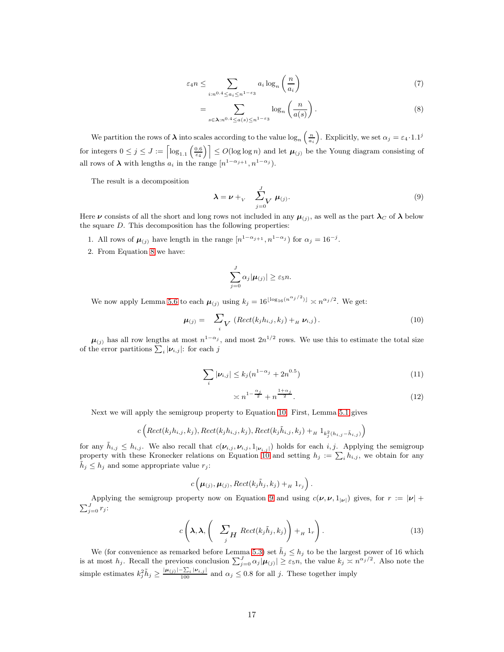$$
\varepsilon_4 n \le \sum_{i: n^{0.4} \le a_i \le n^{1-\varepsilon_3}} a_i \log_n\left(\frac{n}{a_i}\right) \tag{7}
$$

<span id="page-16-0"></span>
$$
= \sum_{s \in \lambda: n^{0.4} \le a(s) \le n^{1-\epsilon_3}} \log_n\left(\frac{n}{a(s)}\right). \tag{8}
$$

We partition the rows of  $\lambda$  into scales according to the value  $\log_n\left(\frac{n}{a_i}\right)$ ). Explicitly, we set  $\alpha_j = \varepsilon_4 \cdot 1.1^j$ for integers  $0 \leq j \leq J := \left\lceil \log_{1.1}\left(\frac{0.6}{\epsilon_4}\right) \right\rceil \leq O(\log \log n)$  and let  $\mu_{(j)}$  be the Young diagram consisting of all rows of  $\lambda$  with lengths  $a_i$  in the range  $[n^{1-\alpha_{j+1}}, n^{1-\alpha_j}).$ 

The result is a decomposition

<span id="page-16-2"></span>
$$
\lambda = \nu +_{V} \sum_{j=0}^{J} \mu_{(j)}.
$$
 (9)

Here  $\nu$  consists of all the short and long rows not included in any  $\mu_{(j)}$ , as well as the part  $\lambda_C$  of  $\lambda$  below the square  $D$ . This decomposition has the following properties:

- 1. All rows of  $\mu_{(j)}$  have length in the range  $[n^{1-\alpha_{j+1}}, n^{1-\alpha_j})$  for  $\alpha_j = 16^{-j}$ .
- 2. From Equation [8](#page-16-0) we have:

$$
\sum_{j=0}^J \alpha_j |\boldsymbol{\mu}_{(j)}| \geq \varepsilon_5 n.
$$

<span id="page-16-1"></span>We now apply Lemma [5.6](#page-14-1) to each  $\mu_{(j)}$  using  $k_j = 16^{\lfloor \log_{16}(n^{\alpha_j/2}) \rfloor} \asymp n^{\alpha_j/2}$ . We get:

$$
\boldsymbol{\mu}_{(j)} = \sum_{i} \sum_{\mathbf{k}} \left( \text{Rect}(k_j h_{i,j}, k_j) +_{H} \boldsymbol{\nu}_{i,j} \right). \tag{10}
$$

 $\mu_{(j)}$  has all row lengths at most  $n^{1-\alpha_j}$ , and most  $2n^{1/2}$  rows. We use this to estimate the total size of the error partitions  $\sum_i |\nu_{i,j}|$ : for each j

$$
\sum_{i} |\nu_{i,j}| \le k_j (n^{1-\alpha_j} + 2n^{0.5})
$$
\n(11)

$$
\asymp n^{1-\frac{\alpha_j}{2}} + n^{\frac{1+\alpha_j}{2}}.\tag{12}
$$

Next we will apply the semigroup property to Equation [10.](#page-16-1) First, Lemma [5.1](#page-12-2) gives

$$
c\left(\mathit{Rect}(k_jh_{i,j},k_j),\mathit{Rect}(k_jh_{i,j},k_j),\mathit{Rect}(k_j\tilde{h}_{i,j},k_j)+_H1_{k_j^2(h_{i,j}-\tilde{h}_{i,j})}\right)
$$

for any  $\tilde{h}_{i,j} \leq h_{i,j}$ . We also recall that  $c(\nu_{i,j}, \nu_{i,j}, 1_{|\nu_{i,j}|})$  holds for each  $i, j$ . Applying the semigroup property with these Kronecker relations on Equation [10](#page-16-1) and setting  $h_j := \sum_i h_{i,j}$ , we obtain for any  $\tilde{h}_j \leq h_j$  and some appropriate value  $r_j$ :

$$
c\left(\boldsymbol{\mu}_{(j)}, \boldsymbol{\mu}_{(j)}, \text{Rect}(k_j \tilde{h}_j, k_j) +_H 1_{r_j}\right)
$$

<span id="page-16-3"></span>Applying the semigroup property now on Equation [9](#page-16-2) and using  $c(\nu, \nu, 1_{|\nu|})$  gives, for  $r := |\nu| + \sum_{j=0}^{J} r_j$ :

$$
c\left(\lambda, \lambda, \left(\sum_{j} H \text{Rect}(k_j \tilde{h}_j, k_j)\right) +_H 1_r\right). \tag{13}
$$

.

We (for convenience as remarked before Lemma [5.3\)](#page-12-3) set  $\tilde{h}_j \leq h_j$  to be the largest power of 16 which is at most  $h_j$ . Recall the previous conclusion  $\sum_{j=0}^J \alpha_j |\mu(j)| \geq \varepsilon_5 n$ , the value  $k_j \asymp n^{\alpha_j/2}$ . Also note the simple estimates  $k_j^2 \tilde{h}_j \ge \frac{|\mu_{(j)}| - \sum_i |\mu_{i,j}|}{100}$  and  $\alpha_j \le 0.8$  for all j. These together imply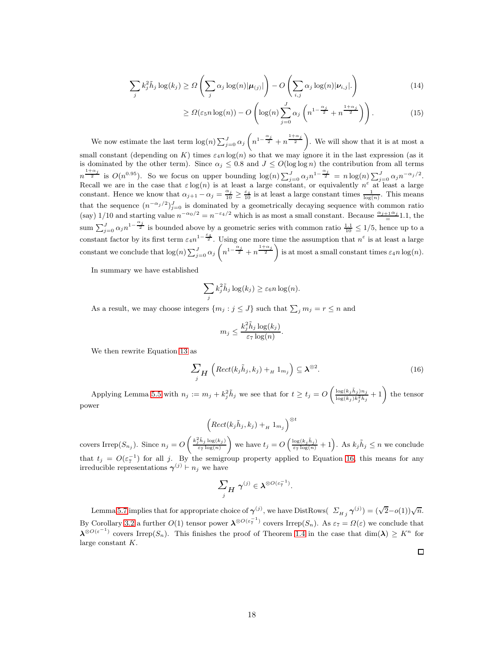$$
\sum_{j} k_j^2 \tilde{h}_j \log(k_j) \ge \Omega \left( \sum_{j} \alpha_j \log(n) |\boldsymbol{\mu}_{(j)}| \right) - O \left( \sum_{i,j} \alpha_j \log(n) |\boldsymbol{\nu}_{i,j}| \right) \tag{14}
$$

$$
\geq \Omega(\varepsilon_5 n \log(n)) - O\left(\log(n) \sum_{j=0}^J \alpha_j \left(n^{1-\frac{\alpha_j}{2}} + n^{\frac{1+\alpha_j}{2}}\right)\right). \tag{15}
$$

We now estimate the last term  $\log(n) \sum_{j=0}^{J} \alpha_j \left( n^{1-\frac{\alpha_j}{2}} + n^{\frac{1+\alpha_j}{2}} \right)$ . We will show that it is at most a small constant (depending on K) times  $\varepsilon_4 n \log(n)$  so that we may ignore it in the last expression (as it is dominated by the other term). Since  $\alpha_j \leq 0.8$  and  $J \leq O(\log \log n)$  the contribution from all terms  $n^{\frac{1+\alpha_j}{2}}$  is  $O(n^{0.95})$ . So we focus on upper bounding  $\log(n) \sum_{j=0}^{J} \alpha_j n^{1-\frac{\alpha_j}{2}} = n \log(n) \sum_{j=0}^{J} \alpha_j n^{-\alpha_j/2}$ . Recall we are in the case that  $\varepsilon \log(n)$  is at least a large constant, or equivalently  $n^{\varepsilon}$  at least a large constant. Hence we know that  $\alpha_{j+1} - \alpha_j = \frac{\alpha_j}{10} \ge \frac{\varepsilon_4}{10}$  is at least a large constant times  $\frac{1}{\log(n)}$ . This means that the sequence  $(n^{-\alpha_j/2})_{j=0}^J$  is dominated by a geometrically decaying sequence with common ratio (say) 1/10 and starting value  $n^{-\alpha_0/2} = n^{-\epsilon_4/2}$  which is as most a small constant. Because  $\frac{\alpha_{j+1}\alpha_j}{n}$  1.1, the sum  $\sum_{j=0}^{J} \alpha_j n^{1-\frac{\alpha_j}{2}}$  is bounded above by a geometric series with common ratio  $\frac{1\cdot 1}{10} \leq 1/5$ , hence up to a constant factor by its first term  $\varepsilon_4 n^{1-\frac{\varepsilon_4}{2}}$ . Using one more time the assumption that  $n^{\varepsilon}$  is at least a large constant we conclude that  $\log(n) \sum_{j=0}^{J} \alpha_j \left( n^{1-\frac{\alpha_j}{2}} + n^{\frac{1+\alpha_j}{2}} \right)$  is at most a small constant times  $\varepsilon_4 n \log(n)$ .

In summary we have established

$$
\sum_j k_j^2 \tilde{h}_j \log(k_j) \geq \varepsilon_6 n \log(n).
$$

As a result, we may choose integers  $\{m_j : j \leq J\}$  such that  $\sum_j m_j = r \leq n$  and

$$
m_j \leq \frac{k_j^2 \tilde{h}_j \log(k_j)}{\varepsilon_7 \log(n)}.
$$

<span id="page-17-0"></span>We then rewrite Equation [13](#page-16-3) as

$$
\sum_{j} H\left(\text{Rect}(k_j\tilde{h}_j, k_j) +_H 1_{m_j}\right) \subseteq \lambda^{\otimes 2}.
$$
\n(16)

Applying Lemma [5.5](#page-13-1) with  $n_j := m_j + k_j^2 \tilde{h}_j$  we see that for  $t \ge t_j = O\left(\frac{\log(k_j \tilde{h}_j) n_j}{\log(k_j) k_j^2 \tilde{h}_j}\right)$  $\frac{\log(k_j \tilde{h}_j) n_j}{\log(k_j) k_j^2 \tilde{h}_j} + 1$  the tensor power

$$
\left( \text{Rect}(k_j \tilde{h}_j, k_j) +_H 1_{m_j} \right)^{\otimes t}
$$

covers Irrep $(S_{n_j})$ . Since  $n_j = O\left(\frac{k_j^2 \tilde{h}_j \log(k_j)}{\varepsilon \tau \log(n)}\right)$ ε7 log(n) we have  $t_j = O\left(\frac{\log(k_j \tilde{h}_j)}{\varepsilon_7 \log(n)} + 1\right)$ . As  $k_j \tilde{h}_j \leq n$  we conclude that  $t_j = O(\varepsilon_7^{-1})$  for all j. By the semigroup property applied to Equation [16,](#page-17-0) this means for any irreducible representations  $\gamma^{(j)} \vdash n_j$  we have

$$
\sum_{j} H \ \boldsymbol{\gamma}^{(j)} \in \boldsymbol{\lambda}^{\otimes O(\varepsilon_7^{-1})}.
$$

Lemma [5.7](#page-14-2) implies that for appropriate choice of  $\gamma^{(j)}$ , we have DistRows( $\Sigma_{Hj} \gamma^{(j)} = (\sqrt{2} - o(1))\sqrt{n}$ . By Corollary [3.2](#page-7-3) a further  $O(1)$  tensor power  $\lambda^{\otimes O(\varepsilon_7^{-1})}$  covers Irrep( $S_n$ ). As  $\varepsilon_7 = \Omega(\varepsilon)$  we conclude that  $\lambda^{\otimes O(\varepsilon^{-1})}$  covers Irrep(S<sub>n</sub>). This finishes the proof of Theorem [1.4](#page-2-2) in the case that dim( $\lambda$ ) ≥ K<sup>n</sup> for large constant K.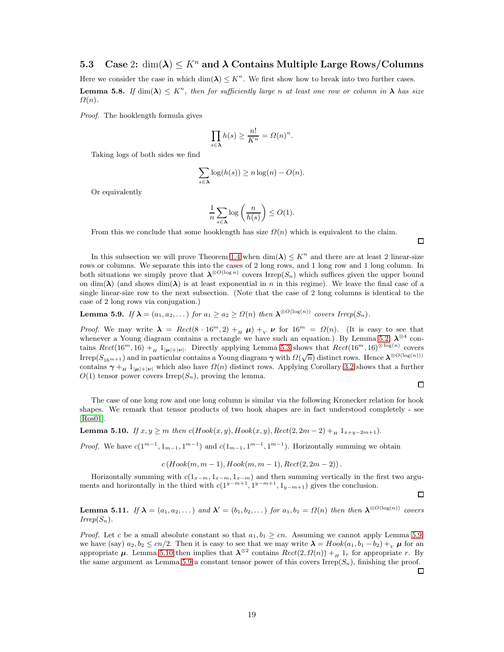### <span id="page-18-0"></span>5.3 Case 2:  $\dim(\lambda) \leq K^n$  and  $\lambda$  Contains Multiple Large Rows/Columns

Here we consider the case in which  $\dim(\lambda) \leq K^n$ . We first show how to break into two further cases. **Lemma 5.8.** If  $\dim(\lambda) \leq K^n$ , then for sufficiently large n at least one row or column in  $\lambda$  has size  $\Omega(n)$ .

Proof. The hooklength formula gives

$$
\prod_{s\in\mathbf{\lambda}}h(s)\geq\frac{n!}{K^n}=\Omega(n)^n.
$$

Taking logs of both sides we find

$$
\sum_{s \in \lambda} \log(h(s)) \ge n \log(n) - O(n).
$$

Or equivalently

$$
\frac{1}{n}\sum_{s\in{\bf\lambda}}\log\left(\frac{n}{h(s)}\right)\leq O(1).
$$

From this we conclude that some hooklength has size  $\Omega(n)$  which is equivalent to the claim.

In this subsection we will prove Theorem [1.4](#page-2-2) when  $\dim(\lambda) \leq K^n$  and there are at least 2 linear-size rows or columns. We separate this into the cases of 2 long rows, and 1 long row and 1 long column. In both situations we simply prove that  $\lambda^{\otimes O(\log n)}$  covers Irrep(S<sub>n</sub>) which suffices given the upper bound on dim( $\lambda$ ) (and shows dim( $\lambda$ ) is at least exponential in n in this regime). We leave the final case of a single linear-size row to the next subsection. (Note that the case of 2 long columns is identical to the case of 2 long rows via conjugation.)

<span id="page-18-1"></span>**Lemma 5.9.** If  $\lambda = (a_1, a_2, ...)$  for  $a_1 \ge a_2 \ge \Omega(n)$  then  $\lambda^{\otimes O(\log(n))}$  covers Irrep( $S_n$ ).

*Proof.* We may write  $\lambda = Rect(8 \cdot 16^m, 2) +_H \mu$  +<sub>V</sub>  $\nu$  for  $16^m = \Omega(n)$ . (It is easy to see that whenever a Young diagram contains a rectangle we have such an equation.) By Lemma [5.2,](#page-12-1)  $\lambda^{\otimes 4}$  contains  $Rect(16^m, 16) +_H 1_{|\mu|+|\nu|}$ . Directly applying Lemma [5.3](#page-12-3) shows that  $Rect(16^m, 16)^{\otimes \log(n)}$  covers Irrep( $S_{16^{m+1}}$ ) and in particular contains a Young diagram  $\gamma$  with  $\Omega(\sqrt{n})$  distinct rows. Hence  $\lambda^{\otimes O(\log(n))}$ contains  $\gamma + H \mathbb{1}_{|\mu|+|\nu|}$  which also have  $\Omega(n)$  distinct rows. Applying Corollary [3.2](#page-7-3) shows that a further  $O(1)$  tensor power covers Irrep $(S_n)$ , proving the lemma.

 $\Box$ 

 $\Box$ 

 $\Box$ 

 $\Box$ 

The case of one long row and one long column is similar via the following Kronecker relation for hook shapes. We remark that tensor products of two hook shapes are in fact understood completely - see [\[Ros01\]](#page-23-13).

<span id="page-18-2"></span>**Lemma 5.10.** If  $x, y \ge m$  then  $c(Hook(x, y), Hook(x, y), Rect(2, 2m-2) + H_{1} 1_{x+y-2m+1}).$ 

*Proof.* We have  $c(1^{m-1}, 1_{m-1}, 1^{m-1})$  and  $c(1_{m-1}, 1^{m-1}, 1^{m-1})$ . Horizontally summing we obtain

 $c (Hook(m, m-1), Hook(m, m-1), Rect(2, 2m-2))$ .

Horizontally summing with  $c(1_{x-m}, 1_{x-m}, 1_{x-m})$  and then summing vertically in the first two arguments and horizontally in the third with  $c(1^{y-m+1}, 1^{y-m+1}, 1_{y-m+1})$  gives the conclusion.

**Lemma 5.11.** If  $\lambda = (a_1, a_2, \dots)$  and  $\lambda' = (b_1, b_2, \dots)$  for  $a_1, b_1 = \Omega(n)$  then then  $\lambda^{\otimes O(\log(n))}$  covers  $Irrep(S_n)$ .

*Proof.* Let c be a small absolute constant so that  $a_1, b_1 \geq cn$ . Assuming we cannot apply Lemma [5.9,](#page-18-1) we have (say)  $a_2, b_2 \leq cn/2$ . Then it is easy to see that we may write  $\lambda = H \circ ok(a_1, b_1 - b_2) + \nu \mu$  for an appropriate  $\mu$ . Lemma [5.10](#page-18-2) then implies that  $\lambda^{\otimes 2}$  contains  $Rect(2,\Omega(n)) +_H 1_r$  for appropriate r. By the same argument as Lemma [5.9](#page-18-1) a constant tensor power of this covers Irrep( $S_n$ ), finishing the proof.

19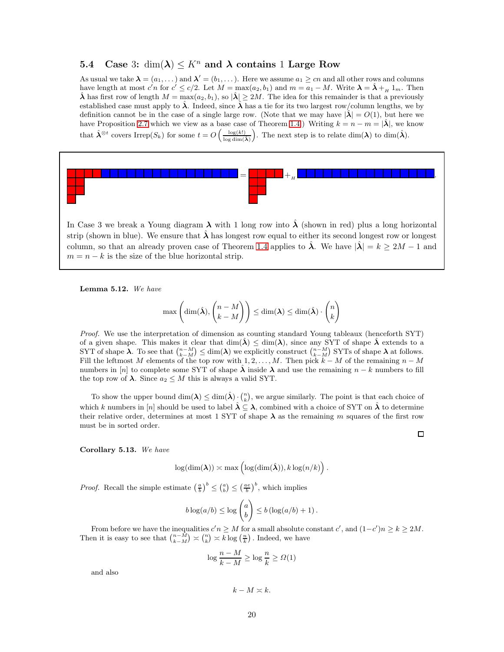### <span id="page-19-0"></span>5.4 Case 3:  $\dim(\lambda) \leq K^n$  and  $\lambda$  contains 1 Large Row

As usual we take  $\lambda = (a_1, \dots)$  and  $\lambda' = (b_1, \dots)$ . Here we assume  $a_1 \geq cn$  and all other rows and columns have length at most  $c'n$  for  $c' \le c/2$ . Let  $M = \max(a_2, b_1)$  and  $m = a_1 - M$ . Write  $\lambda = \hat{\lambda} + H_{H} 1_m$ . Then  $\hat{\lambda}$  has first row of length  $M = \max(a_2, b_1)$ , so  $|\hat{\lambda}| \geq 2M$ . The idea for this remainder is that a previously established case must apply to  $\lambda$ . Indeed, since  $\lambda$  has a tie for its two largest row/column lengths, we by definition cannot be in the case of a single large row. (Note that we may have  $|\lambda| = O(1)$ , but here we have Proposition [2.7](#page-6-2) which we view as a base case of Theorem [1.4.](#page-2-2)) Writing  $k = n - m = |\hat{\lambda}|$ , we know that  $\hat{\lambda}^{\otimes t}$  covers Irrep $(S_k)$  for some  $t = O\left(\frac{\log(k!)}{\log \dim(\hat{\lambda})}\right)$ ). The next step is to relate  $\dim(\lambda)$  to  $\dim(\hat{\lambda})$ .



In Case 3 we break a Young diagram  $\lambda$  with 1 long row into  $\hat{\lambda}$  (shown in red) plus a long horizontal strip (shown in blue). We ensure that  $\hat{\lambda}$  has longest row equal to either its second longest row or longest column, so that an already proven case of Theorem [1.4](#page-2-2) applies to  $\lambda$ . We have  $|\lambda| = k \geq 2M - 1$  and  $m = n - k$  is the size of the blue horizontal strip.

<span id="page-19-2"></span>Lemma 5.12. We have

$$
\max\left(\dim(\hat{\boldsymbol{\lambda}}), \binom{n-M}{k-M}\right) \leq \dim(\boldsymbol{\lambda}) \leq \dim(\hat{\boldsymbol{\lambda}}) \cdot \binom{n}{k}
$$

Proof. We use the interpretation of dimension as counting standard Young tableaux (henceforth SYT) of a given shape. This makes it clear that  $\dim(\lambda) \leq \dim(\lambda)$ , since any SYT of shape  $\lambda$  extends to a SYT of shape  $\lambda$ . To see that  $\binom{n-M}{k-M} \leq \dim(\lambda)$  we explicitly construct  $\binom{n-M}{k-M}$  SYTs of shape  $\lambda$  at follows. Fill the leftmost M elements of the top row with 1, 2, . . . , M. Then pick  $k - M$  of the remaining  $n - M$ numbers in [n] to complete some SYT of shape  $\lambda$  inside  $\lambda$  and use the remaining  $n - k$  numbers to fill the top row of  $\lambda$ . Since  $a_2 \leq M$  this is always a valid SYT.

To show the upper bound  $\dim(\lambda) \leq \dim(\hat{\lambda}) \cdot {n \choose k}$ , we argue similarly. The point is that each choice of which k numbers in [n] should be used to label  $\hat{\lambda} \subseteq \lambda$ , combined with a choice of SYT on  $\hat{\lambda}$  to determine their relative order, determines at most 1 SYT of shape  $\lambda$  as the remaining m squares of the first row must be in sorted order.

<span id="page-19-1"></span>Corollary 5.13. We have

 $\log(\dim(\lambda)) \asymp \max\left(\log(\dim(\hat{\boldsymbol{\lambda}})), k \log(n/k)\right).$ 

*Proof.* Recall the simple estimate  $\left(\frac{a}{b}\right)^b \leq \left(\frac{a}{b}\right) \leq \left(\frac{ae}{b}\right)^b$ , which implies

$$
b \log(a/b) \leq \log \binom{a}{b} \leq b \left(\log(a/b) + 1\right).
$$

From before we have the inequalities  $c'n \geq M$  for a small absolute constant  $c'$ , and  $(1-c')n \geq k \geq 2M$ . Then it is easy to see that  $\binom{n-\bar{M}}{k-M} \asymp \binom{n}{k} \asymp k \log \left(\frac{n}{k}\right)$ . Indeed, we have

$$
\log \frac{n-M}{k-M} \ge \log \frac{n}{k} \ge \Omega(1)
$$

and also

 $k - M \asymp k$ .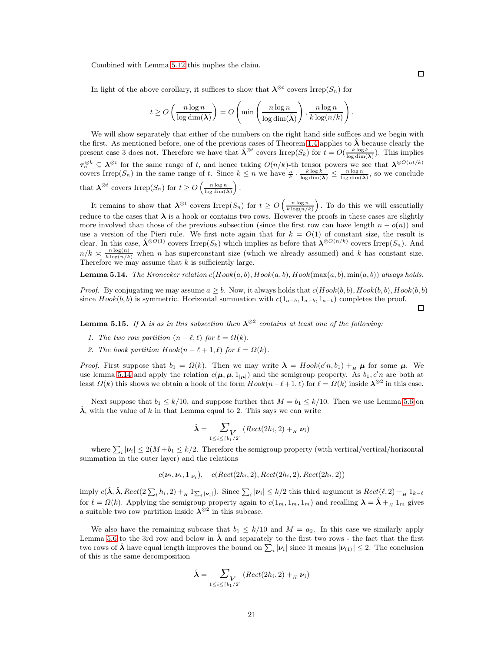Combined with Lemma [5.12](#page-19-2) this implies the claim.

In light of the above corollary, it suffices to show that  $\lambda^{\otimes t}$  covers Irrep(S<sub>n</sub>) for

$$
t \geq O\left(\frac{n\log n}{\log\dim(\pmb{\lambda})}\right) = O\left(\min\left(\frac{n\log n}{\log\dim(\hat{\pmb{\lambda}})}\right), \frac{n\log n}{k\log(n/k)}\right)
$$

We will show separately that either of the numbers on the right hand side suffices and we begin with the first. As mentioned before, one of the previous cases of Theorem [1.4](#page-2-2) applies to  $\lambda$  because clearly the present case 3 does not. Therefore we have that  $\hat{\lambda}^{\otimes t}$  covers Irrep( $S_k$ ) for  $t = O(\frac{k \log k}{\log \dim(\hat{\lambda})})$ . This implies  $\tau_n^{\otimes k} \subseteq \lambda^{\otimes t}$  for the same range of t, and hence taking  $O(n/k)$ -th tensor powers we see that  $\lambda^{\otimes O(n t/k)}$ covers Irrep( $S_n$ ) in the same range of t. Since  $k \leq n$  we have  $\frac{n}{k} \cdot \frac{k \log k}{\log \dim(\hat{\lambda})} \leq \frac{n \log n}{\log \dim(\hat{\lambda})}$ , so we conclude that  $\lambda^{\otimes t}$  covers Irrep $(S_n)$  for  $t \geq O\left(\frac{n \log n}{\log \dim(\hat{\lambda})}\right)$  $\big)$  .

It remains to show that  $\lambda^{\otimes t}$  covers Irrep $(S_n)$  for  $t \geq O\left(\frac{n \log n}{k \log(n/k)}\right)$ . To do this we will essentially reduce to the cases that  $\lambda$  is a hook or contains two rows. However the proofs in these cases are slightly more involved than those of the previous subsection (since the first row can have length  $n - o(n)$ ) and use a version of the Pieri rule. We first note again that for  $k = O(1)$  of constant size, the result is clear. In this case,  $\hat{\lambda}^{\otimes O(1)}$  covers Irrep( $S_k$ ) which implies as before that  $\lambda^{\otimes O(n/k)}$  covers Irrep( $S_n$ ). And  $n/k \approx \frac{n \log(n)}{k \log(n/k)}$  when n has superconstant size (which we already assumed) and k has constant size. Therefore we may assume that  $k$  is sufficiently large.

<span id="page-20-0"></span>**Lemma 5.14.** The Kronecker relation  $c(Hook(a, b), Hook(a, b), Hook(max(a, b), min(a, b))$  always holds.

*Proof.* By conjugating we may assume  $a \geq b$ . Now, it always holds that  $c(Hook(b, b), Hook(b, b), Hook(b, b)$ since  $Hook(b, b)$  is symmetric. Horizontal summation with  $c(1_{a-b}, 1_{a-b}, 1_{a-b})$  completes the proof.

<span id="page-20-1"></span>**Lemma 5.15.** If  $\lambda$  is as in this subsection then  $\lambda^{\otimes 2}$  contains at least one of the following:

- 1. The two row partition  $(n \ell, \ell)$  for  $\ell = \Omega(k)$ .
- 2. The hook partition  $H \circ ok(n \ell + 1, \ell)$  for  $\ell = \Omega(k)$ .

*Proof.* First suppose that  $b_1 = \Omega(k)$ . Then we may write  $\lambda = H \text{ook}(c'n, b_1) +_{H} \mu$  for some  $\mu$ . We use lemma [5.14](#page-20-0) and apply the relation  $c(\mu, \mu, 1_{|\mu|})$  and the semigroup property. As  $b_1, c'n$  are both at least  $\Omega(k)$  this shows we obtain a hook of the form  $Hook(n-\ell+1,\ell)$  for  $\ell=\Omega(k)$  inside  $\lambda^{\otimes 2}$  in this case.

Next suppose that  $b_1 \leq k/10$ , and suppose further that  $M = b_1 \leq k/10$ . Then we use Lemma [5.6](#page-14-1) on  $\lambda$ , with the value of k in that Lemma equal to 2. This says we can write

$$
\hat{\boldsymbol{\lambda}} = \sum_{1 \leq i \leq \lceil b_1/2 \rceil} (Rect(2h_i, 2) +_H \boldsymbol{\nu}_i)
$$

where  $\sum_i |\nu_i| \leq 2(M+b_1 \leq k/2$ . Therefore the semigroup property (with vertical/vertical/horizontal summation in the outer layer) and the relations

$$
c(\boldsymbol{\nu}_i,\boldsymbol{\nu}_i,1_{|\boldsymbol{\nu}_i}),\quad c(Rect(2h_i,2),Rect(2h_i,2),Rect(2h_i,2))
$$

imply  $c(\hat{\lambda}, \hat{\lambda}, \text{Rect}(2\sum_i h_i, 2) + \text{H } 1_{\sum_i |\nu_i|})$ . Since  $\sum_i |\nu_i| \leq k/2$  this third argument is  $\text{Rect}(\ell, 2) + \text{H } 1_{k-\ell}$ for  $\ell = \Omega(k)$ . Applying the semigroup property again to  $c(1_m, 1_m, 1_m)$  and recalling  $\lambda = \lambda + H_{\text{max}}$  gives a suitable two row partition inside  $\lambda^{\otimes 2}$  in this subcase.

We also have the remaining subcase that  $b_1 \leq k/10$  and  $M = a_2$ . In this case we similarly apply Lemma [5.6](#page-14-1) to the 3rd row and below in  $\lambda$  and separately to the first two rows - the fact that the first two rows of  $\hat{\lambda}$  have equal length improves the bound on  $\sum_i |\nu_i|$  since it means  $|\nu_{(1)}| \leq 2$ . The conclusion of this is the same decomposition

$$
\hat{\boldsymbol{\lambda}} = \sum_{1 \leq i \leq \lceil b_1/2 \rceil} (Rect(2h_i, 2) +_H \boldsymbol{\nu}_i)
$$

 $\Box$ 

 $\Box$ 

.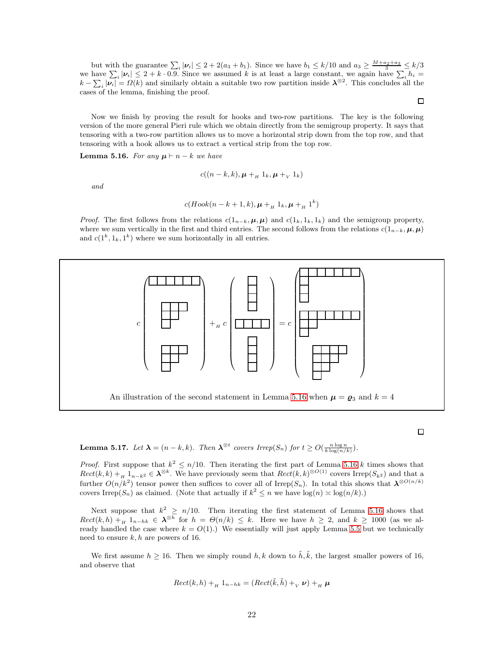but with the guarantee  $\sum_i |\nu_i| \leq 2 + 2(a_3 + b_1)$ . Since we have  $b_1 \leq k/10$  and  $a_3 \geq \frac{M + a_2 + a_3}{3} \leq k/3$ we have  $\sum_i |\nu_i| \leq 2 + k \cdot 0.9$ . Since we assumed k is at least a large constant, we again have  $\sum_i h_i =$  $k - \sum_i |\nu_i| = \Omega(k)$  and similarly obtain a suitable two row partition inside  $\lambda^{\otimes 2}$ . This concludes all the cases of the lemma, finishing the proof.

Now we finish by proving the result for hooks and two-row partitions. The key is the following version of the more general Pieri rule which we obtain directly from the semigroup property. It says that tensoring with a two-row partition allows us to move a horizontal strip down from the top row, and that tensoring with a hook allows us to extract a vertical strip from the top row.

<span id="page-21-0"></span>**Lemma 5.16.** For any  $\mu \vdash n - k$  we have

$$
c((n-k,k), \boldsymbol{\mu} +_{H} 1_{k}, \boldsymbol{\mu} +_{V} 1_{k})
$$

and

$$
c(Hook(n-k+1,k), \mu +_{_H} 1_k, \mu +_{_H} 1^k)
$$

*Proof.* The first follows from the relations  $c(1_{n-k}, \mu, \mu)$  and  $c(1_k, 1_k, 1_k)$  and the semigroup property, where we sum vertically in the first and third entries. The second follows from the relations  $c(1_{n-k}, \mu, \mu)$ and  $c(1^k, 1_k, 1^k)$  where we sum horizontally in all entries.



 $\Box$ 

<span id="page-21-1"></span>**Lemma 5.17.** Let  $\lambda = (n - k, k)$ . Then  $\lambda^{\otimes t}$  covers Irrep( $S_n$ ) for  $t \geq O(\frac{n \log n}{k \log(n/k)})$ .

*Proof.* First suppose that  $k^2 \n\t\leq n/10$ . Then iterating the first part of Lemma [5.16](#page-21-0) k times shows that  $Rect(k, k) + H_{1,n-k^2} \in \mathbb{A}^{\otimes k}$ . We have previously seem that  $Rect(k, k)^{\otimes O(1)}$  covers Irrep( $S_{k^2}$ ) and that a further  $O(n/k^2)$  tensor power then suffices to cover all of Irrep(S<sub>n</sub>). In total this shows that  $\lambda^{\otimes O(n/k)}$ covers Irrep(S<sub>n</sub>) as claimed. (Note that actually if  $k^2 \le n$  we have  $log(n) \asymp log(n/k)$ .)

Next suppose that  $k^2 \geq n/10$ . Then iterating the first statement of Lemma [5.16](#page-21-0) shows that  $Rect(k, h) +_H 1_{n-hk} \in \lambda^{\otimes h}$  for  $h = \Theta(n/k) \leq k$ . Here we have  $h \geq 2$ , and  $k \geq 1000$  (as we already handled the case where  $k = O(1)$ .) We essentially will just apply Lemma [5.5](#page-13-1) but we technically need to ensure  $k, h$  are powers of 16.

We first assume  $h \geq 16$ . Then we simply round h, k down to  $\tilde{h}, \tilde{k}$ , the largest smaller powers of 16, and observe that

$$
Rect(k,h) +_{H} 1_{n-hk} = (Rect(\tilde{k},\tilde{h}) +_{V} \nu) +_{H} \mu
$$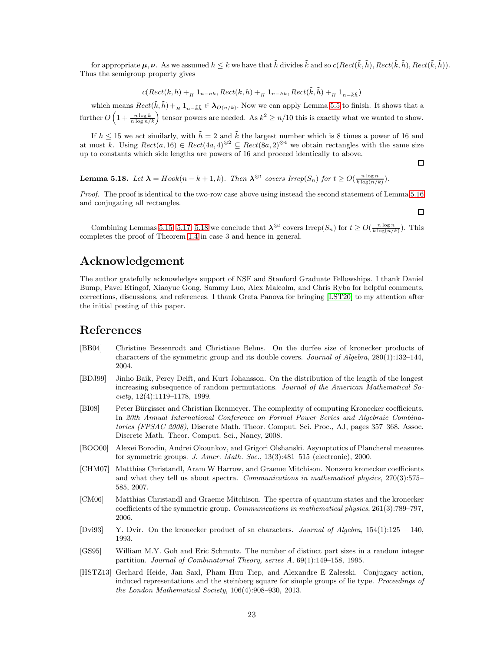for appropriate  $\mu, \nu$ . As we assumed  $h \leq k$  we have that  $\tilde{h}$  divides  $\tilde{k}$  and so  $c(Rect(\tilde{k}, \tilde{h}), Rect(\tilde{k}, \tilde{h}), Rect(\tilde{k}, \tilde{h})).$ Thus the semigroup property gives

 $c(Rect(k, h) + H_{1} 1_{n-hk}, Rect(k, h) + H_{1} 1_{n-hk}, Rect(k, \tilde{h}) + H_{1} 1_{n-\tilde{k}\tilde{h}})$ 

which means  $Rect(\tilde{k}, \tilde{h}) +_H 1_{n-\tilde{k}\tilde{h}} \in \lambda_{O(n/k)}$ . Now we can apply Lemma [5.5](#page-13-1) to finish. It shows that a further  $O\left(1+\frac{n\log k}{n\log n/k}\right)$  tensor powers are needed. As  $k^2\geq n/10$  this is exactly what we wanted to show.

If  $h \leq 15$  we act similarly, with  $\tilde{h} = 2$  and  $\tilde{k}$  the largest number which is 8 times a power of 16 and at most k. Using  $Rect(a, 16) \in Rect(4a, 4)^{\otimes 2} \subseteq Rect(8a, 2)^{\otimes 4}$  we obtain rectangles with the same size up to constants which side lengths are powers of 16 and proceed identically to above.

<span id="page-22-9"></span>**Lemma 5.18.** Let  $\lambda = H \text{ook}(n - k + 1, k)$ . Then  $\lambda^{\otimes t}$  covers Irrep( $S_n$ ) for  $t \geq O(\frac{n \log n}{k \log(n/k)})$ .

Proof. The proof is identical to the two-row case above using instead the second statement of Lemma [5.16](#page-21-0) and conjugating all rectangles.

 $\Box$ 

 $\Box$ 

Combining Lemmas [5.15,](#page-20-1) [5.17,](#page-21-1) [5.18](#page-22-9) we conclude that  $\lambda^{\otimes t}$  covers Irrep( $S_n$ ) for  $t \geq O(\frac{n \log n}{k \log(n/k)})$ . This completes the proof of Theorem [1.4](#page-2-2) in case 3 and hence in general.

# Acknowledgement

The author gratefully acknowledges support of NSF and Stanford Graduate Fellowships. I thank Daniel Bump, Pavel Etingof, Xiaoyue Gong, Sammy Luo, Alex Malcolm, and Chris Ryba for helpful comments, corrections, discussions, and references. I thank Greta Panova for bringing [\[LST20\]](#page-23-8) to my attention after the initial posting of this paper.

# References

- <span id="page-22-4"></span>[BB04] Christine Bessenrodt and Christiane Behns. On the durfee size of kronecker products of characters of the symmetric group and its double covers. Journal of Algebra, 280(1):132–144, 2004.
- <span id="page-22-6"></span>[BDJ99] Jinho Baik, Percy Deift, and Kurt Johansson. On the distribution of the length of the longest increasing subsequence of random permutations. Journal of the American Mathematical Society, 12(4):1119–1178, 1999.
- <span id="page-22-1"></span>[BI08] Peter Bürgisser and Christian Ikenmeyer. The complexity of computing Kronecker coefficients. In 20th Annual International Conference on Formal Power Series and Algebraic Combinatorics (FPSAC 2008), Discrete Math. Theor. Comput. Sci. Proc., AJ, pages 357–368. Assoc. Discrete Math. Theor. Comput. Sci., Nancy, 2008.
- <span id="page-22-5"></span>[BOO00] Alexei Borodin, Andrei Okounkov, and Grigori Olshanski. Asymptotics of Plancherel measures for symmetric groups. J. Amer. Math. Soc., 13(3):481-515 (electronic), 2000.
- <span id="page-22-3"></span>[CHM07] Matthias Christandl, Aram W Harrow, and Graeme Mitchison. Nonzero kronecker coefficients and what they tell us about spectra. Communications in mathematical physics, 270(3):575– 585, 2007.
- <span id="page-22-0"></span>[CM06] Matthias Christandl and Graeme Mitchison. The spectra of quantum states and the kronecker coefficients of the symmetric group. Communications in mathematical physics, 261(3):789–797, 2006.
- <span id="page-22-8"></span>[Dvi93] Y. Dvir. On the kronecker product of sn characters. Journal of Algebra, 154(1):125 – 140, 1993.
- <span id="page-22-7"></span>[GS95] William M.Y. Goh and Eric Schmutz. The number of distinct part sizes in a random integer partition. Journal of Combinatorial Theory, series A, 69(1):149–158, 1995.
- <span id="page-22-2"></span>[HSTZ13] Gerhard Heide, Jan Saxl, Pham Huu Tiep, and Alexandre E Zalesski. Conjugacy action, induced representations and the steinberg square for simple groups of lie type. *Proceedings of* the London Mathematical Society, 106(4):908–930, 2013.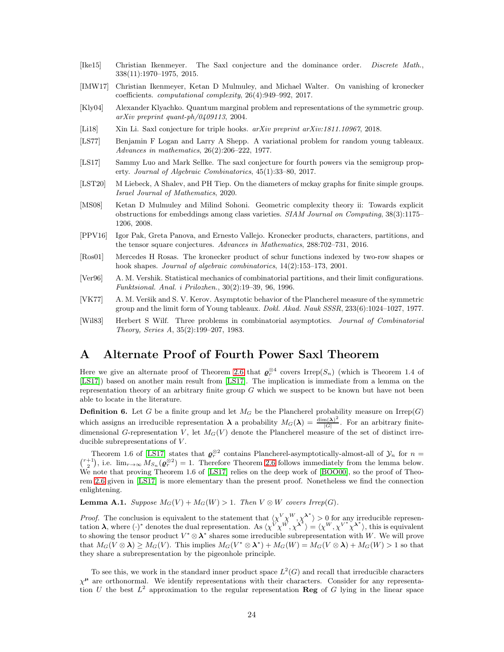- <span id="page-23-5"></span>[Ike15] Christian Ikenmeyer. The Saxl conjecture and the dominance order. Discrete Math., 338(11):1970–1975, 2015.
- <span id="page-23-3"></span>[IMW17] Christian Ikenmeyer, Ketan D Mulmuley, and Michael Walter. On vanishing of kronecker coefficients. computational complexity, 26(4):949–992, 2017.
- <span id="page-23-2"></span>[Kly04] Alexander Klyachko. Quantum marginal problem and representations of the symmetric group. arXiv preprint quant-ph/0409113, 2004.
- <span id="page-23-6"></span>[Li18] Xin Li. Saxl conjecture for triple hooks. arXiv preprint arXiv:1811.10967, 2018.
- <span id="page-23-9"></span>[LS77] Benjamin F Logan and Larry A Shepp. A variational problem for random young tableaux. Advances in mathematics, 26(2):206–222, 1977.
- <span id="page-23-7"></span>[LS17] Sammy Luo and Mark Sellke. The saxl conjecture for fourth powers via the semigroup property. Journal of Algebraic Combinatorics, 45(1):33–80, 2017.
- <span id="page-23-8"></span>[LST20] M Liebeck, A Shalev, and PH Tiep. On the diameters of mckay graphs for finite simple groups. Israel Journal of Mathematics, 2020.
- <span id="page-23-1"></span>[MS08] Ketan D Mulmuley and Milind Sohoni. Geometric complexity theory ii: Towards explicit obstructions for embeddings among class varieties. SIAM Journal on Computing, 38(3):1175– 1206, 2008.
- <span id="page-23-4"></span>[PPV16] Igor Pak, Greta Panova, and Ernesto Vallejo. Kronecker products, characters, partitions, and the tensor square conjectures. Advances in Mathematics, 288:702–731, 2016.
- <span id="page-23-13"></span>[Ros01] Mercedes H Rosas. The kronecker product of schur functions indexed by two-row shapes or hook shapes. *Journal of algebraic combinatorics*,  $14(2):153-173$ ,  $2001$ .
- <span id="page-23-11"></span>[Ver96] A. M. Vershik. Statistical mechanics of combinatorial partitions, and their limit configurations. Funktsional. Anal. i Prilozhen., 30(2):19–39, 96, 1996.
- <span id="page-23-10"></span>[VK77] A. M. Veršik and S. V. Kerov. Asymptotic behavior of the Plancherel measure of the symmetric group and the limit form of Young tableaux. Dokl. Akad. Nauk SSSR, 233(6):1024–1027, 1977.
- <span id="page-23-12"></span>[Wil83] Herbert S Wilf. Three problems in combinatorial asymptotics. Journal of Combinatorial Theory, Series A, 35(2):199–207, 1983.

# <span id="page-23-0"></span>A Alternate Proof of Fourth Power Saxl Theorem

Here we give an alternate proof of Theorem [2.6](#page-6-1) that  $\varrho_r^{\otimes 4}$  covers Irrep( $S_n$ ) (which is Theorem 1.4 of [\[LS17\]](#page-23-7)) based on another main result from [\[LS17\]](#page-23-7). The implication is immediate from a lemma on the representation theory of an arbitrary finite group G which we suspect to be known but have not been able to locate in the literature.

**Definition 6.** Let G be a finite group and let  $M_G$  be the Plancherel probability measure on Irrep(G) which assigns an irreducible representation  $\lambda$  a probability  $M_G(\lambda) = \frac{\dim(\lambda)^2}{|G|}$  $\frac{n(\lambda)}{|G|}$ . For an arbitrary finitedimensional G-representation V, let  $M_G(V)$  denote the Plancherel measure of the set of distinct irreducible subrepresentations of  $V$ .

Theorem 1.6 of [\[LS17\]](#page-23-7) states that  $\varrho_r^{\otimes 2}$ Theorem 1.6 of [LS17] states that  $\varrho_r^{\otimes 2}$  contains Plancherel-asymptotically-almost-all of  $\mathcal{Y}_n$  for  $n = \binom{r+1}{2}$ , i.e.  $\lim_{r \to \infty} M_{S_n}(\varrho_r^{\otimes 2}) = 1$ . Therefore Theorem [2.6](#page-6-1) follows immediately from the lemma We note that proving Theorem 1.6 of [\[LS17\]](#page-23-7) relies on the deep work of [\[BOO00\]](#page-22-5), so the proof of Theorem [2.6](#page-6-1) given in [\[LS17\]](#page-23-7) is more elementary than the present proof. Nonetheless we find the connection enlightening.

**Lemma A.1.** Suppose  $M_G(V) + M_G(W) > 1$ . Then  $V \otimes W$  covers Irrep(G).

*Proof.* The conclusion is equivalent to the statement that  $\langle \chi^V \chi^W, \chi^{\lambda^*} \rangle > 0$  for any irreducible representation  $\lambda$ , where (·)<sup>\*</sup> denotes the dual representation. As  $\langle \chi^V \chi^W, \chi^{\lambda^*} \rangle = \langle \chi^W, \chi^{V^*} \chi^{\lambda^*} \rangle$ , this is equivalent to showing the tensor product  $V^* \otimes \lambda^*$  shares some irreducible subrepresentation with W. We will prove that  $M_G(V \otimes \lambda) \ge M_G(V)$ . This implies  $M_G(V^* \otimes \lambda^*) + M_G(W) = M_G(V \otimes \lambda) + M_G(W) > 1$  so that they share a subrepresentation by the pigeonhole principle.

To see this, we work in the standard inner product space  $L^2(G)$  and recall that irreducible characters  $\chi^{\mu}$  are orthonormal. We identify representations with their characters. Consider for any representation U the best  $L^2$  approximation to the regular representation Reg of G lying in the linear space